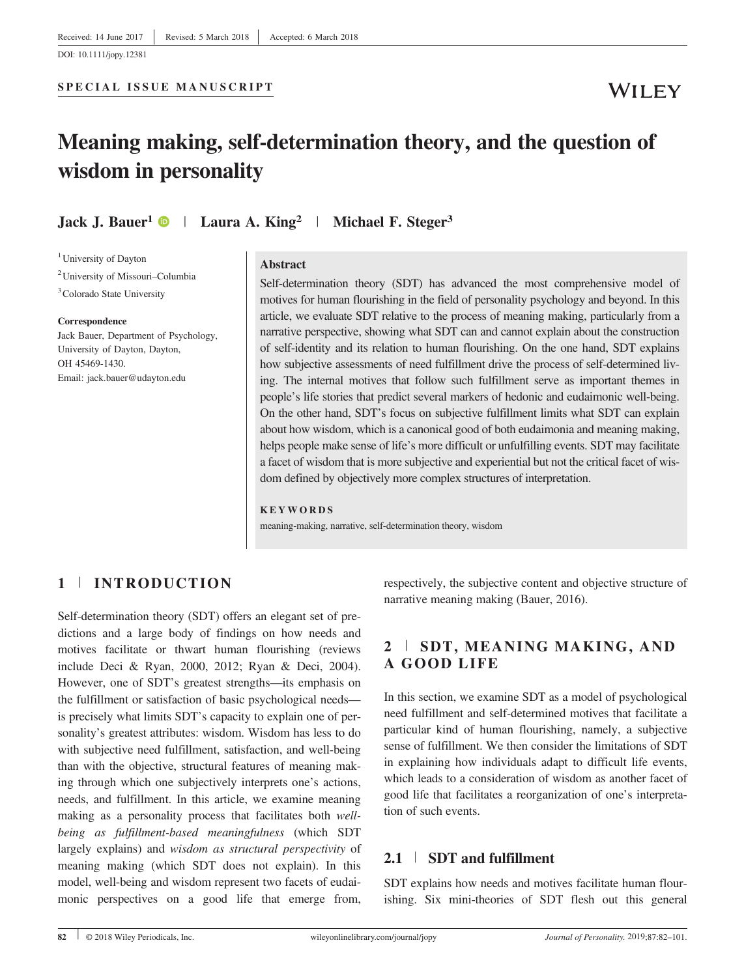DOI: 10.1111/jopy.12381

## **WILEY**

# Meaning making, self-determination theory, and the question of wisdom in personality

Jack J. Bauer<sup>1</sup>  $\bullet$  | Laura A. King<sup>2</sup> | Michael F. Steger<sup>3</sup>

<sup>1</sup> University of Dayton

2 University of Missouri–Columbia <sup>3</sup> Colorado State University

#### Correspondence

Jack Bauer, Department of Psychology, University of Dayton, Dayton, OH 45469-1430. Email: jack.bauer@udayton.edu

#### Abstract

Self-determination theory (SDT) has advanced the most comprehensive model of motives for human flourishing in the field of personality psychology and beyond. In this article, we evaluate SDT relative to the process of meaning making, particularly from a narrative perspective, showing what SDT can and cannot explain about the construction of self-identity and its relation to human flourishing. On the one hand, SDT explains how subjective assessments of need fulfillment drive the process of self-determined living. The internal motives that follow such fulfillment serve as important themes in people's life stories that predict several markers of hedonic and eudaimonic well-being. On the other hand, SDT's focus on subjective fulfillment limits what SDT can explain about how wisdom, which is a canonical good of both eudaimonia and meaning making, helps people make sense of life's more difficult or unfulfilling events. SDT may facilitate a facet of wisdom that is more subjective and experiential but not the critical facet of wisdom defined by objectively more complex structures of interpretation.

#### KEYWORDS

meaning-making, narrative, self-determination theory, wisdom

## 1 <sup>|</sup> INTRODUCTION

Self-determination theory (SDT) offers an elegant set of predictions and a large body of findings on how needs and motives facilitate or thwart human flourishing (reviews include Deci & Ryan, 2000, 2012; Ryan & Deci, 2004). However, one of SDT's greatest strengths—its emphasis on the fulfillment or satisfaction of basic psychological needs is precisely what limits SDT's capacity to explain one of personality's greatest attributes: wisdom. Wisdom has less to do with subjective need fulfillment, satisfaction, and well-being than with the objective, structural features of meaning making through which one subjectively interprets one's actions, needs, and fulfillment. In this article, we examine meaning making as a personality process that facilitates both wellbeing as fulfillment-based meaningfulness (which SDT largely explains) and wisdom as structural perspectivity of meaning making (which SDT does not explain). In this model, well-being and wisdom represent two facets of eudaimonic perspectives on a good life that emerge from, respectively, the subjective content and objective structure of narrative meaning making (Bauer, 2016).

## 2 <sup>|</sup> SDT, MEANING MAKING, AND A GOOD LIFE

In this section, we examine SDT as a model of psychological need fulfillment and self-determined motives that facilitate a particular kind of human flourishing, namely, a subjective sense of fulfillment. We then consider the limitations of SDT in explaining how individuals adapt to difficult life events, which leads to a consideration of wisdom as another facet of good life that facilitates a reorganization of one's interpretation of such events.

#### 2.1 <sup>|</sup> SDT and fulfillment

SDT explains how needs and motives facilitate human flourishing. Six mini-theories of SDT flesh out this general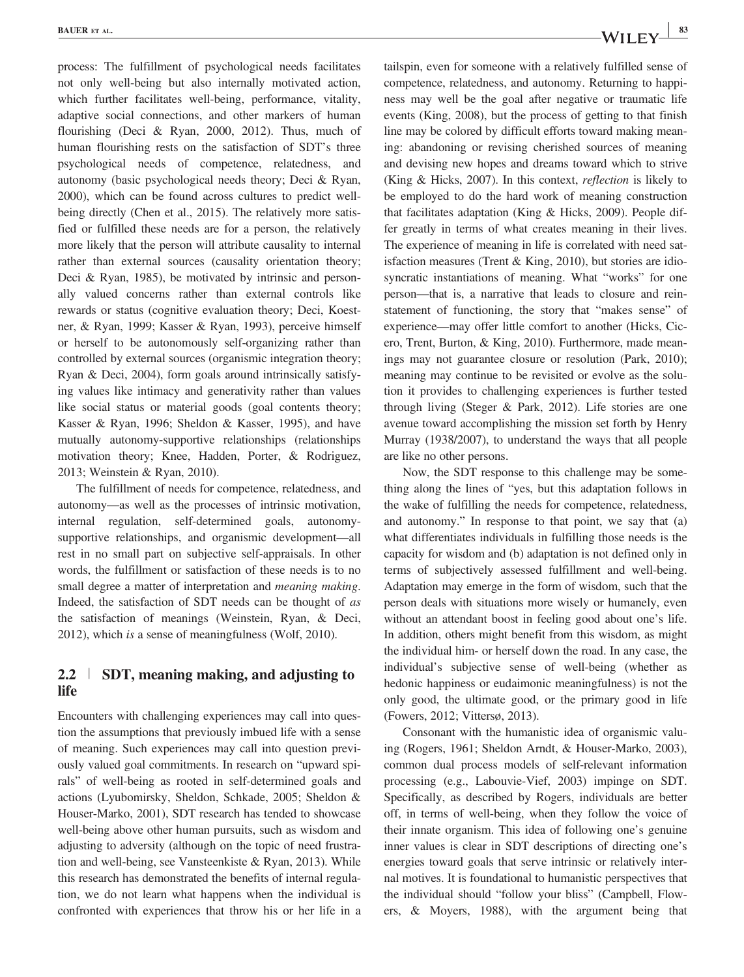process: The fulfillment of psychological needs facilitates not only well-being but also internally motivated action, which further facilitates well-being, performance, vitality, adaptive social connections, and other markers of human flourishing (Deci & Ryan, 2000, 2012). Thus, much of human flourishing rests on the satisfaction of SDT's three psychological needs of competence, relatedness, and autonomy (basic psychological needs theory; Deci & Ryan, 2000), which can be found across cultures to predict wellbeing directly (Chen et al., 2015). The relatively more satisfied or fulfilled these needs are for a person, the relatively more likely that the person will attribute causality to internal rather than external sources (causality orientation theory; Deci & Ryan, 1985), be motivated by intrinsic and personally valued concerns rather than external controls like rewards or status (cognitive evaluation theory; Deci, Koestner, & Ryan, 1999; Kasser & Ryan, 1993), perceive himself or herself to be autonomously self-organizing rather than controlled by external sources (organismic integration theory; Ryan & Deci, 2004), form goals around intrinsically satisfying values like intimacy and generativity rather than values like social status or material goods (goal contents theory; Kasser & Ryan, 1996; Sheldon & Kasser, 1995), and have mutually autonomy-supportive relationships (relationships motivation theory; Knee, Hadden, Porter, & Rodriguez, 2013; Weinstein & Ryan, 2010).

The fulfillment of needs for competence, relatedness, and autonomy—as well as the processes of intrinsic motivation, internal regulation, self-determined goals, autonomysupportive relationships, and organismic development—all rest in no small part on subjective self-appraisals. In other words, the fulfillment or satisfaction of these needs is to no small degree a matter of interpretation and *meaning making*. Indeed, the satisfaction of SDT needs can be thought of as the satisfaction of meanings (Weinstein, Ryan, & Deci, 2012), which is a sense of meaningfulness (Wolf, 2010).

## 2.2 <sup>|</sup> SDT, meaning making, and adjusting to life

Encounters with challenging experiences may call into question the assumptions that previously imbued life with a sense of meaning. Such experiences may call into question previously valued goal commitments. In research on "upward spirals" of well-being as rooted in self-determined goals and actions (Lyubomirsky, Sheldon, Schkade, 2005; Sheldon & Houser-Marko, 2001), SDT research has tended to showcase well-being above other human pursuits, such as wisdom and adjusting to adversity (although on the topic of need frustration and well-being, see Vansteenkiste & Ryan, 2013). While this research has demonstrated the benefits of internal regulation, we do not learn what happens when the individual is confronted with experiences that throw his or her life in a tailspin, even for someone with a relatively fulfilled sense of competence, relatedness, and autonomy. Returning to happiness may well be the goal after negative or traumatic life events (King, 2008), but the process of getting to that finish line may be colored by difficult efforts toward making meaning: abandoning or revising cherished sources of meaning and devising new hopes and dreams toward which to strive (King & Hicks, 2007). In this context, reflection is likely to be employed to do the hard work of meaning construction that facilitates adaptation (King & Hicks, 2009). People differ greatly in terms of what creates meaning in their lives. The experience of meaning in life is correlated with need satisfaction measures (Trent & King, 2010), but stories are idiosyncratic instantiations of meaning. What "works" for one person—that is, a narrative that leads to closure and reinstatement of functioning, the story that "makes sense" of experience—may offer little comfort to another (Hicks, Cicero, Trent, Burton, & King, 2010). Furthermore, made meanings may not guarantee closure or resolution (Park, 2010); meaning may continue to be revisited or evolve as the solution it provides to challenging experiences is further tested through living (Steger & Park, 2012). Life stories are one avenue toward accomplishing the mission set forth by Henry Murray (1938/2007), to understand the ways that all people are like no other persons.

Now, the SDT response to this challenge may be something along the lines of "yes, but this adaptation follows in the wake of fulfilling the needs for competence, relatedness, and autonomy." In response to that point, we say that (a) what differentiates individuals in fulfilling those needs is the capacity for wisdom and (b) adaptation is not defined only in terms of subjectively assessed fulfillment and well-being. Adaptation may emerge in the form of wisdom, such that the person deals with situations more wisely or humanely, even without an attendant boost in feeling good about one's life. In addition, others might benefit from this wisdom, as might the individual him- or herself down the road. In any case, the individual's subjective sense of well-being (whether as hedonic happiness or eudaimonic meaningfulness) is not the only good, the ultimate good, or the primary good in life (Fowers, 2012; Vittersø, 2013).

Consonant with the humanistic idea of organismic valuing (Rogers, 1961; Sheldon Arndt, & Houser-Marko, 2003), common dual process models of self-relevant information processing (e.g., Labouvie-Vief, 2003) impinge on SDT. Specifically, as described by Rogers, individuals are better off, in terms of well-being, when they follow the voice of their innate organism. This idea of following one's genuine inner values is clear in SDT descriptions of directing one's energies toward goals that serve intrinsic or relatively internal motives. It is foundational to humanistic perspectives that the individual should "follow your bliss" (Campbell, Flowers, & Moyers, 1988), with the argument being that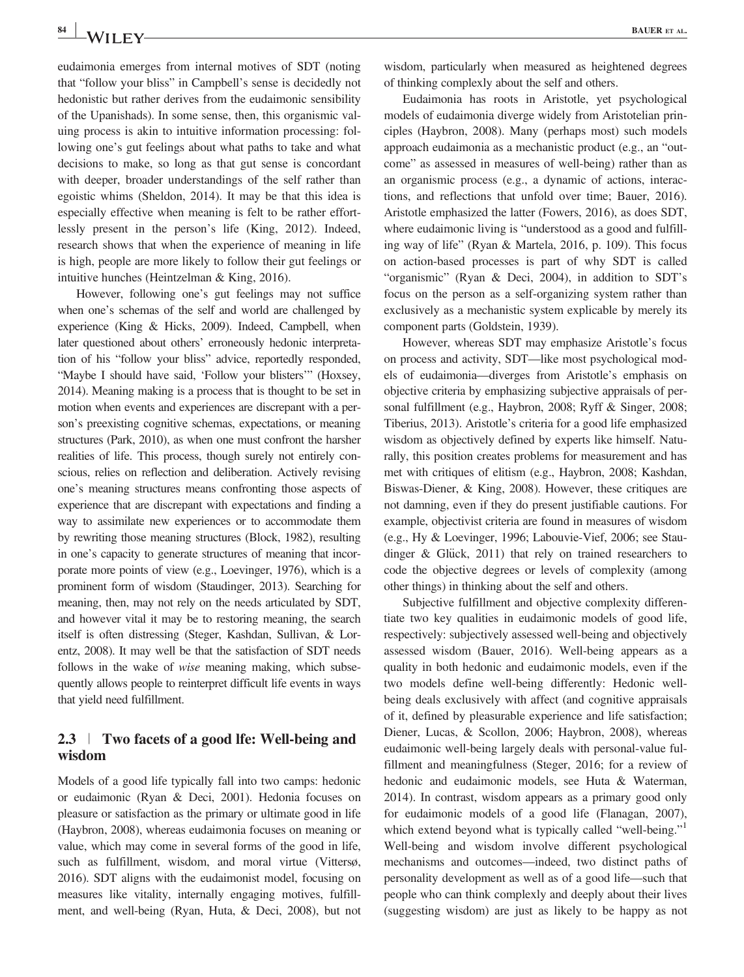$\bullet$  **BAUER** ET AL. **BAUER** ET AL.

eudaimonia emerges from internal motives of SDT (noting that "follow your bliss" in Campbell's sense is decidedly not hedonistic but rather derives from the eudaimonic sensibility of the Upanishads). In some sense, then, this organismic valuing process is akin to intuitive information processing: following one's gut feelings about what paths to take and what decisions to make, so long as that gut sense is concordant with deeper, broader understandings of the self rather than egoistic whims (Sheldon, 2014). It may be that this idea is especially effective when meaning is felt to be rather effortlessly present in the person's life (King, 2012). Indeed, research shows that when the experience of meaning in life is high, people are more likely to follow their gut feelings or intuitive hunches (Heintzelman & King, 2016).

However, following one's gut feelings may not suffice when one's schemas of the self and world are challenged by experience (King & Hicks, 2009). Indeed, Campbell, when later questioned about others' erroneously hedonic interpretation of his "follow your bliss" advice, reportedly responded, "Maybe I should have said, 'Follow your blisters'" (Hoxsey, 2014). Meaning making is a process that is thought to be set in motion when events and experiences are discrepant with a person's preexisting cognitive schemas, expectations, or meaning structures (Park, 2010), as when one must confront the harsher realities of life. This process, though surely not entirely conscious, relies on reflection and deliberation. Actively revising one's meaning structures means confronting those aspects of experience that are discrepant with expectations and finding a way to assimilate new experiences or to accommodate them by rewriting those meaning structures (Block, 1982), resulting in one's capacity to generate structures of meaning that incorporate more points of view (e.g., Loevinger, 1976), which is a prominent form of wisdom (Staudinger, 2013). Searching for meaning, then, may not rely on the needs articulated by SDT, and however vital it may be to restoring meaning, the search itself is often distressing (Steger, Kashdan, Sullivan, & Lorentz, 2008). It may well be that the satisfaction of SDT needs follows in the wake of wise meaning making, which subsequently allows people to reinterpret difficult life events in ways that yield need fulfillment.

### 2.3 <sup>|</sup> Two facets of a good lfe: Well-being and wisdom

Models of a good life typically fall into two camps: hedonic or eudaimonic (Ryan & Deci, 2001). Hedonia focuses on pleasure or satisfaction as the primary or ultimate good in life (Haybron, 2008), whereas eudaimonia focuses on meaning or value, which may come in several forms of the good in life, such as fulfillment, wisdom, and moral virtue (Vittersø, 2016). SDT aligns with the eudaimonist model, focusing on measures like vitality, internally engaging motives, fulfillment, and well-being (Ryan, Huta, & Deci, 2008), but not wisdom, particularly when measured as heightened degrees of thinking complexly about the self and others.

Eudaimonia has roots in Aristotle, yet psychological models of eudaimonia diverge widely from Aristotelian principles (Haybron, 2008). Many (perhaps most) such models approach eudaimonia as a mechanistic product (e.g., an "outcome" as assessed in measures of well-being) rather than as an organismic process (e.g., a dynamic of actions, interactions, and reflections that unfold over time; Bauer, 2016). Aristotle emphasized the latter (Fowers, 2016), as does SDT, where eudaimonic living is "understood as a good and fulfilling way of life" (Ryan & Martela, 2016, p. 109). This focus on action-based processes is part of why SDT is called "organismic" (Ryan & Deci, 2004), in addition to SDT's focus on the person as a self-organizing system rather than exclusively as a mechanistic system explicable by merely its component parts (Goldstein, 1939).

However, whereas SDT may emphasize Aristotle's focus on process and activity, SDT—like most psychological models of eudaimonia—diverges from Aristotle's emphasis on objective criteria by emphasizing subjective appraisals of personal fulfillment (e.g., Haybron, 2008; Ryff & Singer, 2008; Tiberius, 2013). Aristotle's criteria for a good life emphasized wisdom as objectively defined by experts like himself. Naturally, this position creates problems for measurement and has met with critiques of elitism (e.g., Haybron, 2008; Kashdan, Biswas-Diener, & King, 2008). However, these critiques are not damning, even if they do present justifiable cautions. For example, objectivist criteria are found in measures of wisdom (e.g., Hy & Loevinger, 1996; Labouvie-Vief, 2006; see Staudinger  $& Glück, 2011)$  that rely on trained researchers to code the objective degrees or levels of complexity (among other things) in thinking about the self and others.

Subjective fulfillment and objective complexity differentiate two key qualities in eudaimonic models of good life, respectively: subjectively assessed well-being and objectively assessed wisdom (Bauer, 2016). Well-being appears as a quality in both hedonic and eudaimonic models, even if the two models define well-being differently: Hedonic wellbeing deals exclusively with affect (and cognitive appraisals of it, defined by pleasurable experience and life satisfaction; Diener, Lucas, & Scollon, 2006; Haybron, 2008), whereas eudaimonic well-being largely deals with personal-value fulfillment and meaningfulness (Steger, 2016; for a review of hedonic and eudaimonic models, see Huta & Waterman, 2014). In contrast, wisdom appears as a primary good only for eudaimonic models of a good life (Flanagan, 2007), which extend beyond what is typically called "well-being."<sup>1</sup> Well-being and wisdom involve different psychological mechanisms and outcomes—indeed, two distinct paths of personality development as well as of a good life—such that people who can think complexly and deeply about their lives (suggesting wisdom) are just as likely to be happy as not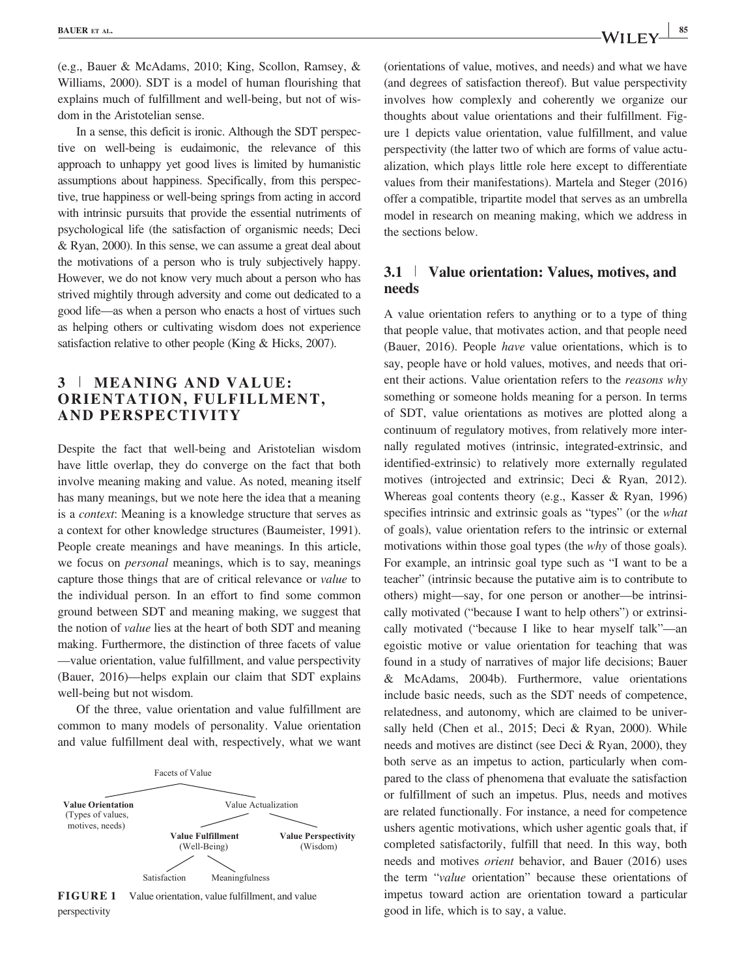(e.g., Bauer & McAdams, 2010; King, Scollon, Ramsey, & Williams, 2000). SDT is a model of human flourishing that explains much of fulfillment and well-being, but not of wisdom in the Aristotelian sense.

In a sense, this deficit is ironic. Although the SDT perspective on well-being is eudaimonic, the relevance of this approach to unhappy yet good lives is limited by humanistic assumptions about happiness. Specifically, from this perspective, true happiness or well-being springs from acting in accord with intrinsic pursuits that provide the essential nutriments of psychological life (the satisfaction of organismic needs; Deci & Ryan, 2000). In this sense, we can assume a great deal about the motivations of a person who is truly subjectively happy. However, we do not know very much about a person who has strived mightily through adversity and come out dedicated to a good life—as when a person who enacts a host of virtues such as helping others or cultivating wisdom does not experience satisfaction relative to other people (King & Hicks, 2007).

## 3 <sup>|</sup> MEANING AND VALUE: ORIENTATION, FULFILLMENT, AND PERSPECTIVITY

Despite the fact that well-being and Aristotelian wisdom have little overlap, they do converge on the fact that both involve meaning making and value. As noted, meaning itself has many meanings, but we note here the idea that a meaning is a context: Meaning is a knowledge structure that serves as a context for other knowledge structures (Baumeister, 1991). People create meanings and have meanings. In this article, we focus on personal meanings, which is to say, meanings capture those things that are of critical relevance or value to the individual person. In an effort to find some common ground between SDT and meaning making, we suggest that the notion of value lies at the heart of both SDT and meaning making. Furthermore, the distinction of three facets of value —value orientation, value fulfillment, and value perspectivity (Bauer, 2016)—helps explain our claim that SDT explains well-being but not wisdom.

Of the three, value orientation and value fulfillment are common to many models of personality. Value orientation and value fulfillment deal with, respectively, what we want





(orientations of value, motives, and needs) and what we have (and degrees of satisfaction thereof). But value perspectivity

involves how complexly and coherently we organize our thoughts about value orientations and their fulfillment. Figure 1 depicts value orientation, value fulfillment, and value perspectivity (the latter two of which are forms of value actualization, which plays little role here except to differentiate values from their manifestations). Martela and Steger (2016) offer a compatible, tripartite model that serves as an umbrella model in research on meaning making, which we address in the sections below.

#### 3.1 <sup>|</sup> Value orientation: Values, motives, and needs

A value orientation refers to anything or to a type of thing that people value, that motivates action, and that people need (Bauer, 2016). People have value orientations, which is to say, people have or hold values, motives, and needs that orient their actions. Value orientation refers to the reasons why something or someone holds meaning for a person. In terms of SDT, value orientations as motives are plotted along a continuum of regulatory motives, from relatively more internally regulated motives (intrinsic, integrated-extrinsic, and identified-extrinsic) to relatively more externally regulated motives (introjected and extrinsic; Deci & Ryan, 2012). Whereas goal contents theory (e.g., Kasser & Ryan, 1996) specifies intrinsic and extrinsic goals as "types" (or the what of goals), value orientation refers to the intrinsic or external motivations within those goal types (the *why* of those goals). For example, an intrinsic goal type such as "I want to be a teacher" (intrinsic because the putative aim is to contribute to others) might—say, for one person or another—be intrinsically motivated ("because I want to help others") or extrinsically motivated ("because I like to hear myself talk"—an egoistic motive or value orientation for teaching that was found in a study of narratives of major life decisions; Bauer & McAdams, 2004b). Furthermore, value orientations include basic needs, such as the SDT needs of competence, relatedness, and autonomy, which are claimed to be universally held (Chen et al., 2015; Deci & Ryan, 2000). While needs and motives are distinct (see Deci & Ryan, 2000), they both serve as an impetus to action, particularly when compared to the class of phenomena that evaluate the satisfaction or fulfillment of such an impetus. Plus, needs and motives are related functionally. For instance, a need for competence ushers agentic motivations, which usher agentic goals that, if completed satisfactorily, fulfill that need. In this way, both needs and motives orient behavior, and Bauer (2016) uses the term "value orientation" because these orientations of impetus toward action are orientation toward a particular good in life, which is to say, a value.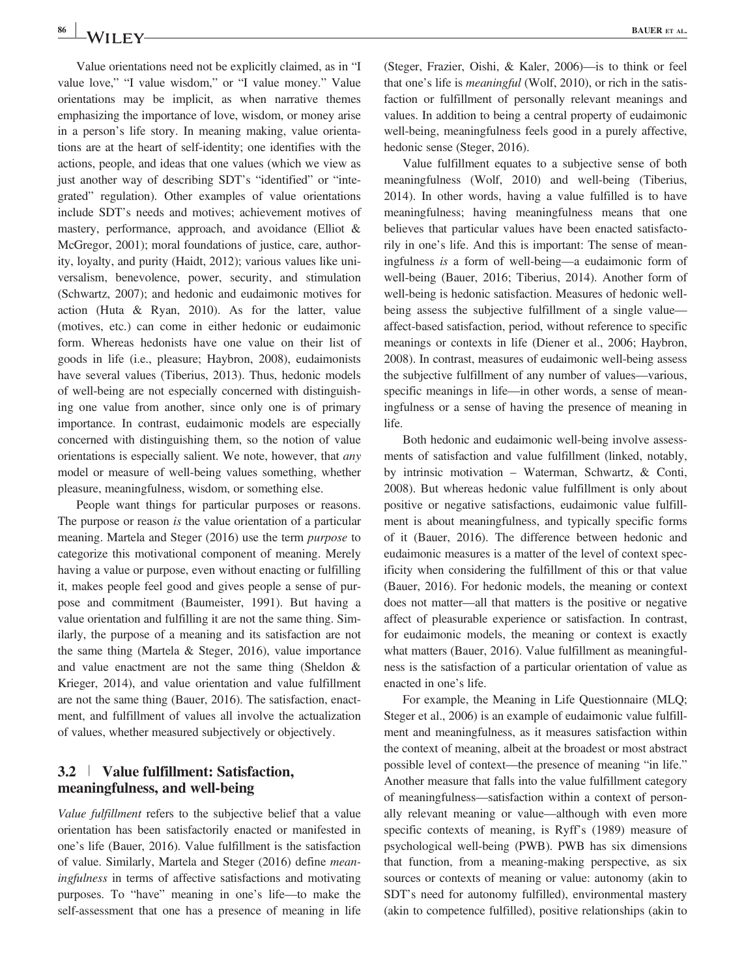Value orientations need not be explicitly claimed, as in "I value love," "I value wisdom," or "I value money." Value orientations may be implicit, as when narrative themes emphasizing the importance of love, wisdom, or money arise in a person's life story. In meaning making, value orientations are at the heart of self-identity; one identifies with the actions, people, and ideas that one values (which we view as just another way of describing SDT's "identified" or "integrated" regulation). Other examples of value orientations include SDT's needs and motives; achievement motives of mastery, performance, approach, and avoidance (Elliot & McGregor, 2001); moral foundations of justice, care, authority, loyalty, and purity (Haidt, 2012); various values like universalism, benevolence, power, security, and stimulation (Schwartz, 2007); and hedonic and eudaimonic motives for action (Huta & Ryan, 2010). As for the latter, value (motives, etc.) can come in either hedonic or eudaimonic form. Whereas hedonists have one value on their list of goods in life (i.e., pleasure; Haybron, 2008), eudaimonists have several values (Tiberius, 2013). Thus, hedonic models of well-being are not especially concerned with distinguishing one value from another, since only one is of primary importance. In contrast, eudaimonic models are especially concerned with distinguishing them, so the notion of value orientations is especially salient. We note, however, that any model or measure of well-being values something, whether pleasure, meaningfulness, wisdom, or something else.

People want things for particular purposes or reasons. The purpose or reason *is* the value orientation of a particular meaning. Martela and Steger (2016) use the term purpose to categorize this motivational component of meaning. Merely having a value or purpose, even without enacting or fulfilling it, makes people feel good and gives people a sense of purpose and commitment (Baumeister, 1991). But having a value orientation and fulfilling it are not the same thing. Similarly, the purpose of a meaning and its satisfaction are not the same thing (Martela & Steger, 2016), value importance and value enactment are not the same thing (Sheldon & Krieger, 2014), and value orientation and value fulfillment are not the same thing (Bauer, 2016). The satisfaction, enactment, and fulfillment of values all involve the actualization of values, whether measured subjectively or objectively.

#### 3.2 <sup>|</sup> Value fulfillment: Satisfaction, meaningfulness, and well-being

Value fulfillment refers to the subjective belief that a value orientation has been satisfactorily enacted or manifested in one's life (Bauer, 2016). Value fulfillment is the satisfaction of value. Similarly, Martela and Steger (2016) define meaningfulness in terms of affective satisfactions and motivating purposes. To "have" meaning in one's life—to make the self-assessment that one has a presence of meaning in life (Steger, Frazier, Oishi, & Kaler, 2006)—is to think or feel that one's life is meaningful (Wolf, 2010), or rich in the satisfaction or fulfillment of personally relevant meanings and values. In addition to being a central property of eudaimonic well-being, meaningfulness feels good in a purely affective, hedonic sense (Steger, 2016).

Value fulfillment equates to a subjective sense of both meaningfulness (Wolf, 2010) and well-being (Tiberius, 2014). In other words, having a value fulfilled is to have meaningfulness; having meaningfulness means that one believes that particular values have been enacted satisfactorily in one's life. And this is important: The sense of meaningfulness is a form of well-being—a eudaimonic form of well-being (Bauer, 2016; Tiberius, 2014). Another form of well-being is hedonic satisfaction. Measures of hedonic wellbeing assess the subjective fulfillment of a single value affect-based satisfaction, period, without reference to specific meanings or contexts in life (Diener et al., 2006; Haybron, 2008). In contrast, measures of eudaimonic well-being assess the subjective fulfillment of any number of values—various, specific meanings in life—in other words, a sense of meaningfulness or a sense of having the presence of meaning in life.

Both hedonic and eudaimonic well-being involve assessments of satisfaction and value fulfillment (linked, notably, by intrinsic motivation – Waterman, Schwartz, & Conti, 2008). But whereas hedonic value fulfillment is only about positive or negative satisfactions, eudaimonic value fulfillment is about meaningfulness, and typically specific forms of it (Bauer, 2016). The difference between hedonic and eudaimonic measures is a matter of the level of context specificity when considering the fulfillment of this or that value (Bauer, 2016). For hedonic models, the meaning or context does not matter—all that matters is the positive or negative affect of pleasurable experience or satisfaction. In contrast, for eudaimonic models, the meaning or context is exactly what matters (Bauer, 2016). Value fulfillment as meaningfulness is the satisfaction of a particular orientation of value as enacted in one's life.

For example, the Meaning in Life Questionnaire (MLQ; Steger et al., 2006) is an example of eudaimonic value fulfillment and meaningfulness, as it measures satisfaction within the context of meaning, albeit at the broadest or most abstract possible level of context—the presence of meaning "in life." Another measure that falls into the value fulfillment category of meaningfulness—satisfaction within a context of personally relevant meaning or value—although with even more specific contexts of meaning, is Ryff's (1989) measure of psychological well-being (PWB). PWB has six dimensions that function, from a meaning-making perspective, as six sources or contexts of meaning or value: autonomy (akin to SDT's need for autonomy fulfilled), environmental mastery (akin to competence fulfilled), positive relationships (akin to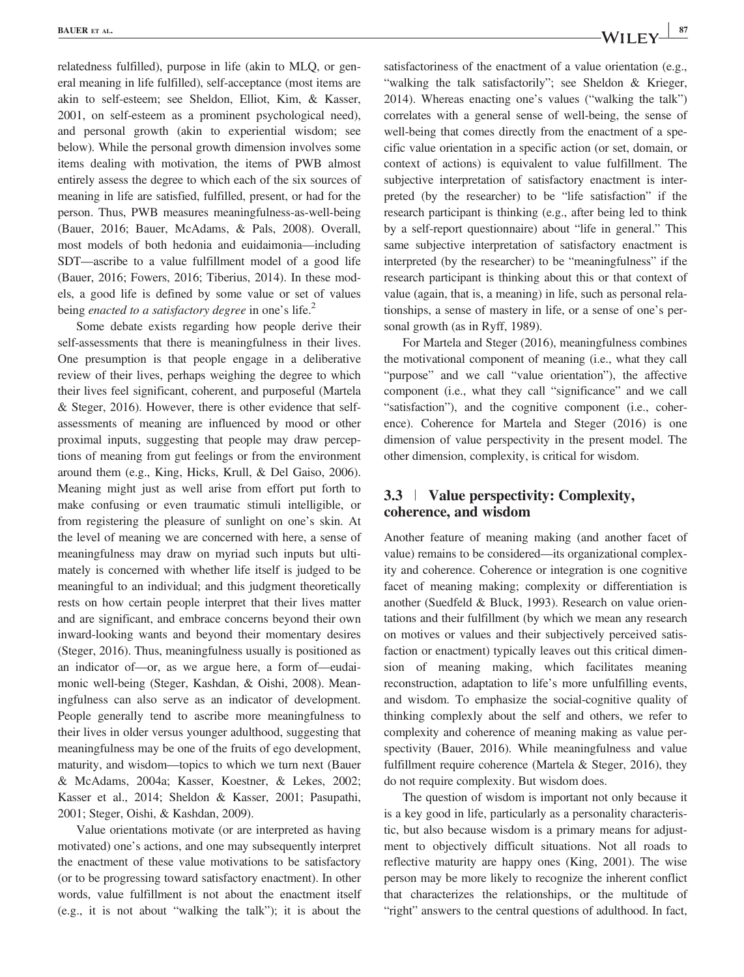relatedness fulfilled), purpose in life (akin to MLQ, or general meaning in life fulfilled), self-acceptance (most items are akin to self-esteem; see Sheldon, Elliot, Kim, & Kasser, 2001, on self-esteem as a prominent psychological need), and personal growth (akin to experiential wisdom; see below). While the personal growth dimension involves some items dealing with motivation, the items of PWB almost entirely assess the degree to which each of the six sources of meaning in life are satisfied, fulfilled, present, or had for the person. Thus, PWB measures meaningfulness-as-well-being (Bauer, 2016; Bauer, McAdams, & Pals, 2008). Overall, most models of both hedonia and euidaimonia—including SDT—ascribe to a value fulfillment model of a good life (Bauer, 2016; Fowers, 2016; Tiberius, 2014). In these models, a good life is defined by some value or set of values being *enacted to a satisfactory degree* in one's life.<sup>2</sup>

Some debate exists regarding how people derive their self-assessments that there is meaningfulness in their lives. One presumption is that people engage in a deliberative review of their lives, perhaps weighing the degree to which their lives feel significant, coherent, and purposeful (Martela & Steger, 2016). However, there is other evidence that selfassessments of meaning are influenced by mood or other proximal inputs, suggesting that people may draw perceptions of meaning from gut feelings or from the environment around them (e.g., King, Hicks, Krull, & Del Gaiso, 2006). Meaning might just as well arise from effort put forth to make confusing or even traumatic stimuli intelligible, or from registering the pleasure of sunlight on one's skin. At the level of meaning we are concerned with here, a sense of meaningfulness may draw on myriad such inputs but ultimately is concerned with whether life itself is judged to be meaningful to an individual; and this judgment theoretically rests on how certain people interpret that their lives matter and are significant, and embrace concerns beyond their own inward-looking wants and beyond their momentary desires (Steger, 2016). Thus, meaningfulness usually is positioned as an indicator of—or, as we argue here, a form of—eudaimonic well-being (Steger, Kashdan, & Oishi, 2008). Meaningfulness can also serve as an indicator of development. People generally tend to ascribe more meaningfulness to their lives in older versus younger adulthood, suggesting that meaningfulness may be one of the fruits of ego development, maturity, and wisdom—topics to which we turn next (Bauer & McAdams, 2004a; Kasser, Koestner, & Lekes, 2002; Kasser et al., 2014; Sheldon & Kasser, 2001; Pasupathi, 2001; Steger, Oishi, & Kashdan, 2009).

Value orientations motivate (or are interpreted as having motivated) one's actions, and one may subsequently interpret the enactment of these value motivations to be satisfactory (or to be progressing toward satisfactory enactment). In other words, value fulfillment is not about the enactment itself (e.g., it is not about "walking the talk"); it is about the

satisfactoriness of the enactment of a value orientation (e.g., "walking the talk satisfactorily"; see Sheldon & Krieger, 2014). Whereas enacting one's values ("walking the talk") correlates with a general sense of well-being, the sense of well-being that comes directly from the enactment of a specific value orientation in a specific action (or set, domain, or context of actions) is equivalent to value fulfillment. The subjective interpretation of satisfactory enactment is interpreted (by the researcher) to be "life satisfaction" if the research participant is thinking (e.g., after being led to think by a self-report questionnaire) about "life in general." This same subjective interpretation of satisfactory enactment is interpreted (by the researcher) to be "meaningfulness" if the research participant is thinking about this or that context of value (again, that is, a meaning) in life, such as personal relationships, a sense of mastery in life, or a sense of one's personal growth (as in Ryff, 1989).

For Martela and Steger (2016), meaningfulness combines the motivational component of meaning (i.e., what they call "purpose" and we call "value orientation"), the affective component (i.e., what they call "significance" and we call "satisfaction"), and the cognitive component (i.e., coherence). Coherence for Martela and Steger (2016) is one dimension of value perspectivity in the present model. The other dimension, complexity, is critical for wisdom.

## 3.3 <sup>|</sup> Value perspectivity: Complexity, coherence, and wisdom

Another feature of meaning making (and another facet of value) remains to be considered—its organizational complexity and coherence. Coherence or integration is one cognitive facet of meaning making; complexity or differentiation is another (Suedfeld & Bluck, 1993). Research on value orientations and their fulfillment (by which we mean any research on motives or values and their subjectively perceived satisfaction or enactment) typically leaves out this critical dimension of meaning making, which facilitates meaning reconstruction, adaptation to life's more unfulfilling events, and wisdom. To emphasize the social-cognitive quality of thinking complexly about the self and others, we refer to complexity and coherence of meaning making as value perspectivity (Bauer, 2016). While meaningfulness and value fulfillment require coherence (Martela & Steger, 2016), they do not require complexity. But wisdom does.

The question of wisdom is important not only because it is a key good in life, particularly as a personality characteristic, but also because wisdom is a primary means for adjustment to objectively difficult situations. Not all roads to reflective maturity are happy ones (King, 2001). The wise person may be more likely to recognize the inherent conflict that characterizes the relationships, or the multitude of "right" answers to the central questions of adulthood. In fact,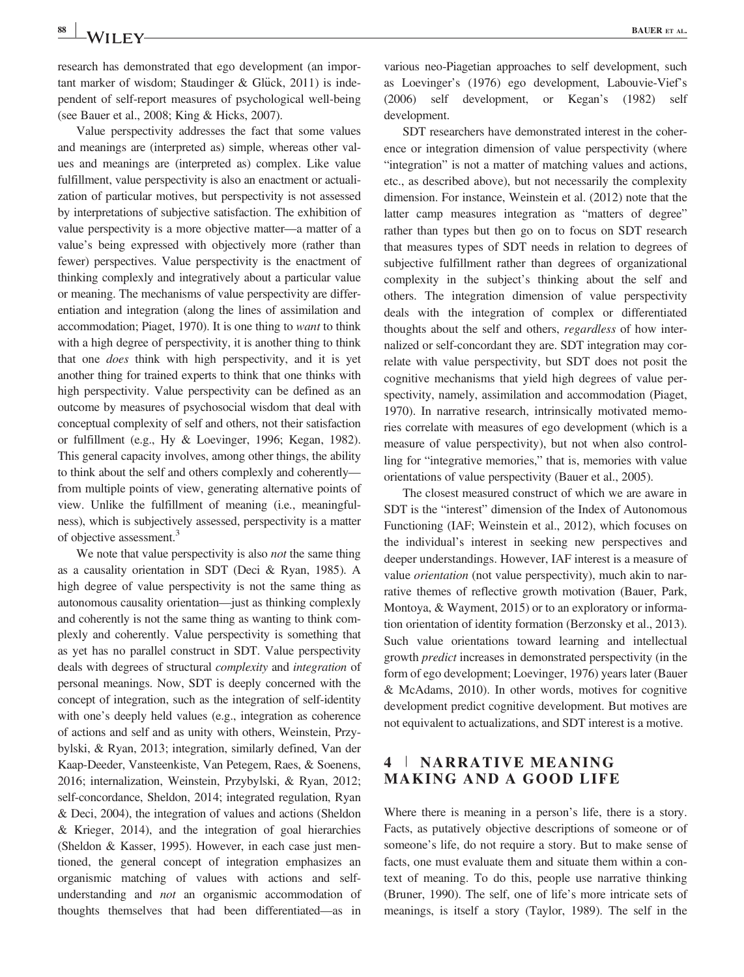research has demonstrated that ego development (an important marker of wisdom; Staudinger & Glück, 2011) is independent of self-report measures of psychological well-being (see Bauer et al., 2008; King & Hicks, 2007).

Value perspectivity addresses the fact that some values and meanings are (interpreted as) simple, whereas other values and meanings are (interpreted as) complex. Like value fulfillment, value perspectivity is also an enactment or actualization of particular motives, but perspectivity is not assessed by interpretations of subjective satisfaction. The exhibition of value perspectivity is a more objective matter—a matter of a value's being expressed with objectively more (rather than fewer) perspectives. Value perspectivity is the enactment of thinking complexly and integratively about a particular value or meaning. The mechanisms of value perspectivity are differentiation and integration (along the lines of assimilation and accommodation; Piaget, 1970). It is one thing to want to think with a high degree of perspectivity, it is another thing to think that one does think with high perspectivity, and it is yet another thing for trained experts to think that one thinks with high perspectivity. Value perspectivity can be defined as an outcome by measures of psychosocial wisdom that deal with conceptual complexity of self and others, not their satisfaction or fulfillment (e.g., Hy & Loevinger, 1996; Kegan, 1982). This general capacity involves, among other things, the ability to think about the self and others complexly and coherently from multiple points of view, generating alternative points of view. Unlike the fulfillment of meaning (i.e., meaningfulness), which is subjectively assessed, perspectivity is a matter of objective assessment.3

We note that value perspectivity is also *not* the same thing as a causality orientation in SDT (Deci & Ryan, 1985). A high degree of value perspectivity is not the same thing as autonomous causality orientation—just as thinking complexly and coherently is not the same thing as wanting to think complexly and coherently. Value perspectivity is something that as yet has no parallel construct in SDT. Value perspectivity deals with degrees of structural complexity and integration of personal meanings. Now, SDT is deeply concerned with the concept of integration, such as the integration of self-identity with one's deeply held values (e.g., integration as coherence of actions and self and as unity with others, Weinstein, Przybylski, & Ryan, 2013; integration, similarly defined, Van der Kaap-Deeder, Vansteenkiste, Van Petegem, Raes, & Soenens, 2016; internalization, Weinstein, Przybylski, & Ryan, 2012; self-concordance, Sheldon, 2014; integrated regulation, Ryan & Deci, 2004), the integration of values and actions (Sheldon & Krieger, 2014), and the integration of goal hierarchies (Sheldon & Kasser, 1995). However, in each case just mentioned, the general concept of integration emphasizes an organismic matching of values with actions and selfunderstanding and not an organismic accommodation of thoughts themselves that had been differentiated—as in

various neo-Piagetian approaches to self development, such as Loevinger's (1976) ego development, Labouvie-Vief's (2006) self development, or Kegan's (1982) self development.

SDT researchers have demonstrated interest in the coherence or integration dimension of value perspectivity (where "integration" is not a matter of matching values and actions, etc., as described above), but not necessarily the complexity dimension. For instance, Weinstein et al. (2012) note that the latter camp measures integration as "matters of degree" rather than types but then go on to focus on SDT research that measures types of SDT needs in relation to degrees of subjective fulfillment rather than degrees of organizational complexity in the subject's thinking about the self and others. The integration dimension of value perspectivity deals with the integration of complex or differentiated thoughts about the self and others, regardless of how internalized or self-concordant they are. SDT integration may correlate with value perspectivity, but SDT does not posit the cognitive mechanisms that yield high degrees of value perspectivity, namely, assimilation and accommodation (Piaget, 1970). In narrative research, intrinsically motivated memories correlate with measures of ego development (which is a measure of value perspectivity), but not when also controlling for "integrative memories," that is, memories with value orientations of value perspectivity (Bauer et al., 2005).

The closest measured construct of which we are aware in SDT is the "interest" dimension of the Index of Autonomous Functioning (IAF; Weinstein et al., 2012), which focuses on the individual's interest in seeking new perspectives and deeper understandings. However, IAF interest is a measure of value *orientation* (not value perspectivity), much akin to narrative themes of reflective growth motivation (Bauer, Park, Montoya, & Wayment, 2015) or to an exploratory or information orientation of identity formation (Berzonsky et al., 2013). Such value orientations toward learning and intellectual growth predict increases in demonstrated perspectivity (in the form of ego development; Loevinger, 1976) years later (Bauer & McAdams, 2010). In other words, motives for cognitive development predict cognitive development. But motives are not equivalent to actualizations, and SDT interest is a motive.

## 4 <sup>|</sup> NARRATIVE MEANING MAKING AND A GOOD LIFE

Where there is meaning in a person's life, there is a story. Facts, as putatively objective descriptions of someone or of someone's life, do not require a story. But to make sense of facts, one must evaluate them and situate them within a context of meaning. To do this, people use narrative thinking (Bruner, 1990). The self, one of life's more intricate sets of meanings, is itself a story (Taylor, 1989). The self in the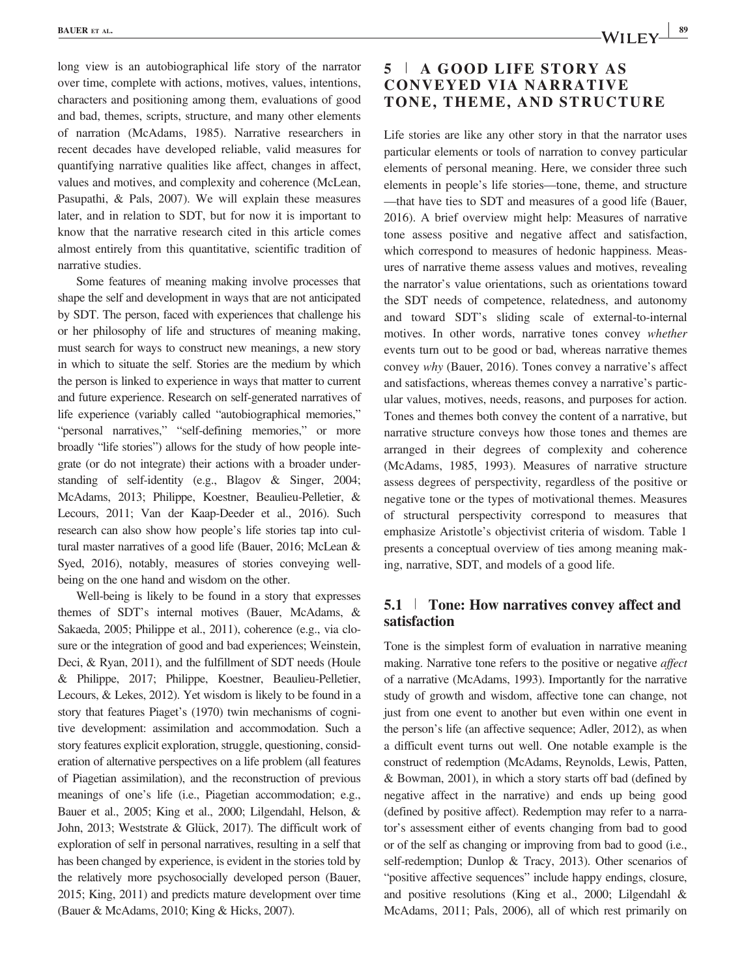long view is an autobiographical life story of the narrator over time, complete with actions, motives, values, intentions, characters and positioning among them, evaluations of good and bad, themes, scripts, structure, and many other elements of narration (McAdams, 1985). Narrative researchers in recent decades have developed reliable, valid measures for quantifying narrative qualities like affect, changes in affect, values and motives, and complexity and coherence (McLean, Pasupathi, & Pals, 2007). We will explain these measures later, and in relation to SDT, but for now it is important to know that the narrative research cited in this article comes almost entirely from this quantitative, scientific tradition of narrative studies.

Some features of meaning making involve processes that shape the self and development in ways that are not anticipated by SDT. The person, faced with experiences that challenge his or her philosophy of life and structures of meaning making, must search for ways to construct new meanings, a new story in which to situate the self. Stories are the medium by which the person is linked to experience in ways that matter to current and future experience. Research on self-generated narratives of life experience (variably called "autobiographical memories," "personal narratives," "self-defining memories," or more broadly "life stories") allows for the study of how people integrate (or do not integrate) their actions with a broader understanding of self-identity (e.g., Blagov & Singer, 2004; McAdams, 2013; Philippe, Koestner, Beaulieu-Pelletier, & Lecours, 2011; Van der Kaap-Deeder et al., 2016). Such research can also show how people's life stories tap into cultural master narratives of a good life (Bauer, 2016; McLean & Syed, 2016), notably, measures of stories conveying wellbeing on the one hand and wisdom on the other.

Well-being is likely to be found in a story that expresses themes of SDT's internal motives (Bauer, McAdams, & Sakaeda, 2005; Philippe et al., 2011), coherence (e.g., via closure or the integration of good and bad experiences; Weinstein, Deci, & Ryan, 2011), and the fulfillment of SDT needs (Houle & Philippe, 2017; Philippe, Koestner, Beaulieu-Pelletier, Lecours, & Lekes, 2012). Yet wisdom is likely to be found in a story that features Piaget's (1970) twin mechanisms of cognitive development: assimilation and accommodation. Such a story features explicit exploration, struggle, questioning, consideration of alternative perspectives on a life problem (all features of Piagetian assimilation), and the reconstruction of previous meanings of one's life (i.e., Piagetian accommodation; e.g., Bauer et al., 2005; King et al., 2000; Lilgendahl, Helson, & John, 2013; Weststrate & Glück, 2017). The difficult work of exploration of self in personal narratives, resulting in a self that has been changed by experience, is evident in the stories told by the relatively more psychosocially developed person (Bauer, 2015; King, 2011) and predicts mature development over time (Bauer & McAdams, 2010; King & Hicks, 2007).

## 5 <sup>|</sup> A GOOD LIFE STORY AS CONVEYED VIA NARRATIVE TONE, THEME, AND STRUCTURE

Life stories are like any other story in that the narrator uses particular elements or tools of narration to convey particular elements of personal meaning. Here, we consider three such elements in people's life stories—tone, theme, and structure —that have ties to SDT and measures of a good life (Bauer, 2016). A brief overview might help: Measures of narrative tone assess positive and negative affect and satisfaction, which correspond to measures of hedonic happiness. Measures of narrative theme assess values and motives, revealing the narrator's value orientations, such as orientations toward the SDT needs of competence, relatedness, and autonomy and toward SDT's sliding scale of external-to-internal motives. In other words, narrative tones convey whether events turn out to be good or bad, whereas narrative themes convey why (Bauer, 2016). Tones convey a narrative's affect and satisfactions, whereas themes convey a narrative's particular values, motives, needs, reasons, and purposes for action. Tones and themes both convey the content of a narrative, but narrative structure conveys how those tones and themes are arranged in their degrees of complexity and coherence (McAdams, 1985, 1993). Measures of narrative structure assess degrees of perspectivity, regardless of the positive or negative tone or the types of motivational themes. Measures of structural perspectivity correspond to measures that emphasize Aristotle's objectivist criteria of wisdom. Table 1 presents a conceptual overview of ties among meaning making, narrative, SDT, and models of a good life.

## 5.1 <sup>|</sup> Tone: How narratives convey affect and satisfaction

Tone is the simplest form of evaluation in narrative meaning making. Narrative tone refers to the positive or negative affect of a narrative (McAdams, 1993). Importantly for the narrative study of growth and wisdom, affective tone can change, not just from one event to another but even within one event in the person's life (an affective sequence; Adler, 2012), as when a difficult event turns out well. One notable example is the construct of redemption (McAdams, Reynolds, Lewis, Patten, & Bowman, 2001), in which a story starts off bad (defined by negative affect in the narrative) and ends up being good (defined by positive affect). Redemption may refer to a narrator's assessment either of events changing from bad to good or of the self as changing or improving from bad to good (i.e., self-redemption; Dunlop & Tracy, 2013). Other scenarios of "positive affective sequences" include happy endings, closure, and positive resolutions (King et al., 2000; Lilgendahl & McAdams, 2011; Pals, 2006), all of which rest primarily on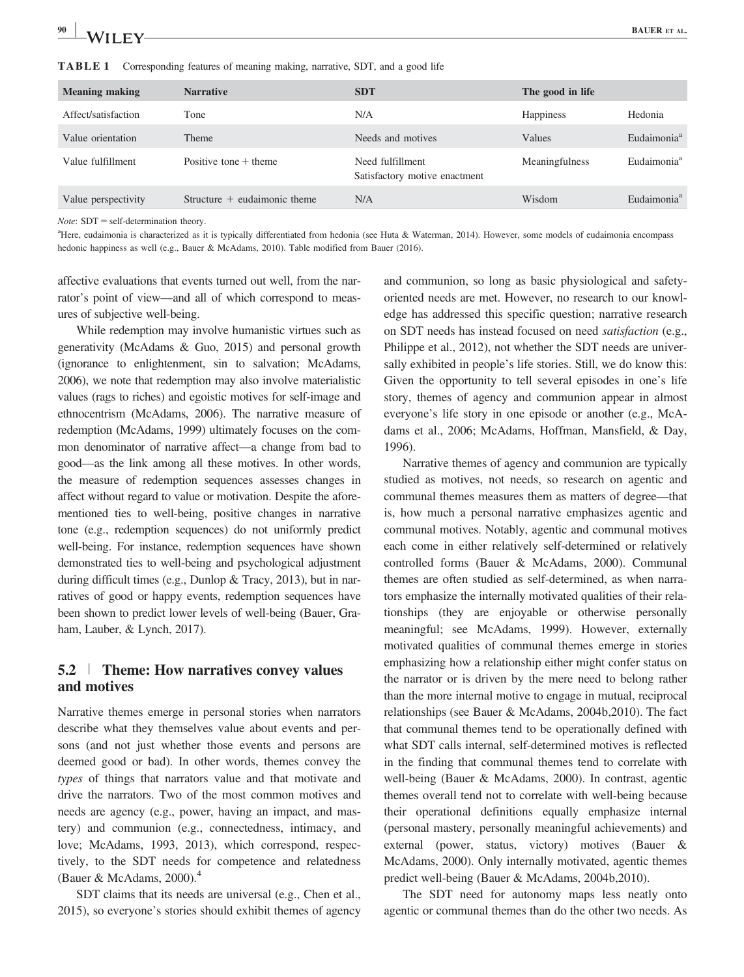| 90<br> | <b>The State of Street</b><br>ĸа<br>AL |
|--------|----------------------------------------|
|        |                                        |

| <b>Meaning making</b> | <b>Narrative</b>               | <b>SDT</b>                                        | The good in life |                         |
|-----------------------|--------------------------------|---------------------------------------------------|------------------|-------------------------|
| Affect/satisfaction   | Tone                           | N/A                                               | <b>Happiness</b> | Hedonia                 |
| Value orientation     | <b>Theme</b>                   | Needs and motives                                 | Values           | Eudaimonia <sup>a</sup> |
| Value fulfillment     | Positive tone $+$ theme        | Need fulfillment<br>Satisfactory motive enactment | Meaningfulness   | Eudaimonia <sup>a</sup> |
| Value perspectivity   | Structure $+$ eudaimonic theme | N/A                                               | Wisdom           | Eudaimonia <sup>a</sup> |

TABLE 1 Corresponding features of meaning making, narrative, SDT, and a good life

*Note*:  $SDT = self-determination theory.$ 

a Here, eudaimonia is characterized as it is typically differentiated from hedonia (see Huta & Waterman, 2014). However, some models of eudaimonia encompass hedonic happiness as well (e.g., Bauer & McAdams, 2010). Table modified from Bauer (2016).

affective evaluations that events turned out well, from the narrator's point of view—and all of which correspond to measures of subjective well-being.

While redemption may involve humanistic virtues such as generativity (McAdams & Guo, 2015) and personal growth (ignorance to enlightenment, sin to salvation; McAdams, 2006), we note that redemption may also involve materialistic values (rags to riches) and egoistic motives for self-image and ethnocentrism (McAdams, 2006). The narrative measure of redemption (McAdams, 1999) ultimately focuses on the common denominator of narrative affect—a change from bad to good—as the link among all these motives. In other words, the measure of redemption sequences assesses changes in affect without regard to value or motivation. Despite the aforementioned ties to well-being, positive changes in narrative tone (e.g., redemption sequences) do not uniformly predict well-being. For instance, redemption sequences have shown demonstrated ties to well-being and psychological adjustment during difficult times (e.g., Dunlop & Tracy, 2013), but in narratives of good or happy events, redemption sequences have been shown to predict lower levels of well-being (Bauer, Graham, Lauber, & Lynch, 2017).

## 5.2 <sup>|</sup> Theme: How narratives convey values and motives

Narrative themes emerge in personal stories when narrators describe what they themselves value about events and persons (and not just whether those events and persons are deemed good or bad). In other words, themes convey the types of things that narrators value and that motivate and drive the narrators. Two of the most common motives and needs are agency (e.g., power, having an impact, and mastery) and communion (e.g., connectedness, intimacy, and love; McAdams, 1993, 2013), which correspond, respectively, to the SDT needs for competence and relatedness (Bauer & McAdams, 2000). $4$ 

SDT claims that its needs are universal (e.g., Chen et al., 2015), so everyone's stories should exhibit themes of agency

and communion, so long as basic physiological and safetyoriented needs are met. However, no research to our knowledge has addressed this specific question; narrative research on SDT needs has instead focused on need satisfaction (e.g., Philippe et al., 2012), not whether the SDT needs are universally exhibited in people's life stories. Still, we do know this: Given the opportunity to tell several episodes in one's life story, themes of agency and communion appear in almost everyone's life story in one episode or another (e.g., McAdams et al., 2006; McAdams, Hoffman, Mansfield, & Day, 1996).

Narrative themes of agency and communion are typically studied as motives, not needs, so research on agentic and communal themes measures them as matters of degree—that is, how much a personal narrative emphasizes agentic and communal motives. Notably, agentic and communal motives each come in either relatively self-determined or relatively controlled forms (Bauer & McAdams, 2000). Communal themes are often studied as self-determined, as when narrators emphasize the internally motivated qualities of their relationships (they are enjoyable or otherwise personally meaningful; see McAdams, 1999). However, externally motivated qualities of communal themes emerge in stories emphasizing how a relationship either might confer status on the narrator or is driven by the mere need to belong rather than the more internal motive to engage in mutual, reciprocal relationships (see Bauer & McAdams, 2004b,2010). The fact that communal themes tend to be operationally defined with what SDT calls internal, self-determined motives is reflected in the finding that communal themes tend to correlate with well-being (Bauer & McAdams, 2000). In contrast, agentic themes overall tend not to correlate with well-being because their operational definitions equally emphasize internal (personal mastery, personally meaningful achievements) and external (power, status, victory) motives (Bauer & McAdams, 2000). Only internally motivated, agentic themes predict well-being (Bauer & McAdams, 2004b,2010).

The SDT need for autonomy maps less neatly onto agentic or communal themes than do the other two needs. As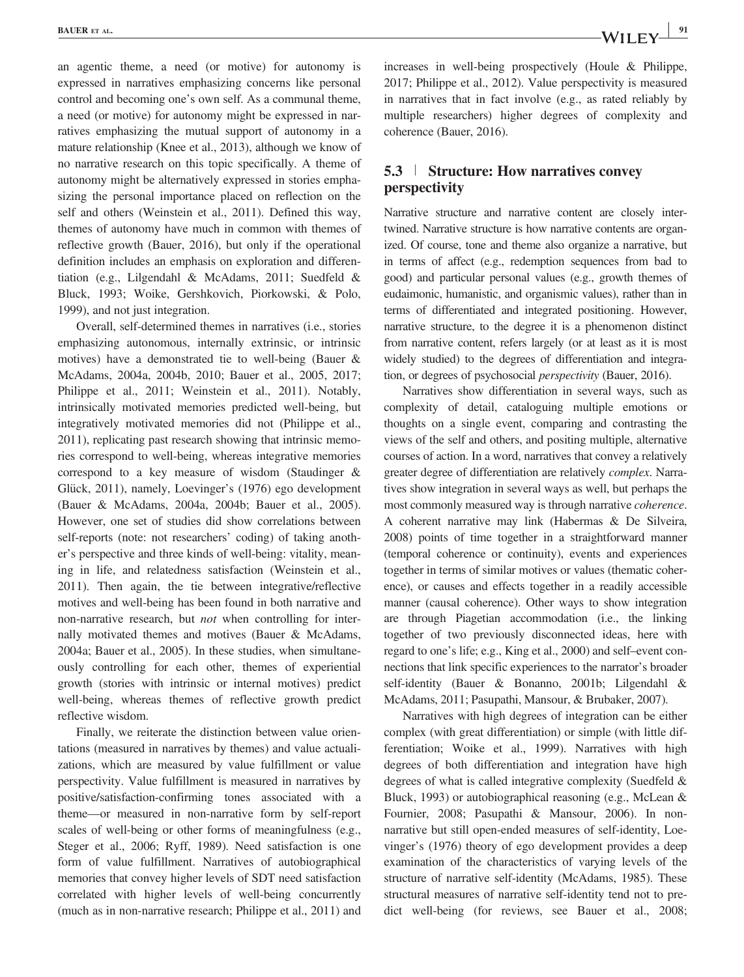an agentic theme, a need (or motive) for autonomy is expressed in narratives emphasizing concerns like personal control and becoming one's own self. As a communal theme, a need (or motive) for autonomy might be expressed in narratives emphasizing the mutual support of autonomy in a mature relationship (Knee et al., 2013), although we know of no narrative research on this topic specifically. A theme of autonomy might be alternatively expressed in stories emphasizing the personal importance placed on reflection on the self and others (Weinstein et al., 2011). Defined this way, themes of autonomy have much in common with themes of reflective growth (Bauer, 2016), but only if the operational definition includes an emphasis on exploration and differentiation (e.g., Lilgendahl & McAdams, 2011; Suedfeld & Bluck, 1993; Woike, Gershkovich, Piorkowski, & Polo, 1999), and not just integration.

Overall, self-determined themes in narratives (i.e., stories emphasizing autonomous, internally extrinsic, or intrinsic motives) have a demonstrated tie to well-being (Bauer & McAdams, 2004a, 2004b, 2010; Bauer et al., 2005, 2017; Philippe et al., 2011; Weinstein et al., 2011). Notably, intrinsically motivated memories predicted well-being, but integratively motivated memories did not (Philippe et al., 2011), replicating past research showing that intrinsic memories correspond to well-being, whereas integrative memories correspond to a key measure of wisdom (Staudinger & Glück, 2011), namely, Loevinger's (1976) ego development (Bauer & McAdams, 2004a, 2004b; Bauer et al., 2005). However, one set of studies did show correlations between self-reports (note: not researchers' coding) of taking another's perspective and three kinds of well-being: vitality, meaning in life, and relatedness satisfaction (Weinstein et al., 2011). Then again, the tie between integrative/reflective motives and well-being has been found in both narrative and non-narrative research, but not when controlling for internally motivated themes and motives (Bauer & McAdams, 2004a; Bauer et al., 2005). In these studies, when simultaneously controlling for each other, themes of experiential growth (stories with intrinsic or internal motives) predict well-being, whereas themes of reflective growth predict reflective wisdom.

Finally, we reiterate the distinction between value orientations (measured in narratives by themes) and value actualizations, which are measured by value fulfillment or value perspectivity. Value fulfillment is measured in narratives by positive/satisfaction-confirming tones associated with a theme—or measured in non-narrative form by self-report scales of well-being or other forms of meaningfulness (e.g., Steger et al., 2006; Ryff, 1989). Need satisfaction is one form of value fulfillment. Narratives of autobiographical memories that convey higher levels of SDT need satisfaction correlated with higher levels of well-being concurrently (much as in non-narrative research; Philippe et al., 2011) and increases in well-being prospectively (Houle & Philippe, 2017; Philippe et al., 2012). Value perspectivity is measured in narratives that in fact involve (e.g., as rated reliably by multiple researchers) higher degrees of complexity and coherence (Bauer, 2016).

## 5.3 <sup>|</sup> Structure: How narratives convey perspectivity

Narrative structure and narrative content are closely intertwined. Narrative structure is how narrative contents are organized. Of course, tone and theme also organize a narrative, but in terms of affect (e.g., redemption sequences from bad to good) and particular personal values (e.g., growth themes of eudaimonic, humanistic, and organismic values), rather than in terms of differentiated and integrated positioning. However, narrative structure, to the degree it is a phenomenon distinct from narrative content, refers largely (or at least as it is most widely studied) to the degrees of differentiation and integration, or degrees of psychosocial perspectivity (Bauer, 2016).

Narratives show differentiation in several ways, such as complexity of detail, cataloguing multiple emotions or thoughts on a single event, comparing and contrasting the views of the self and others, and positing multiple, alternative courses of action. In a word, narratives that convey a relatively greater degree of differentiation are relatively complex. Narratives show integration in several ways as well, but perhaps the most commonly measured way is through narrative coherence. A coherent narrative may link (Habermas & De Silveira, 2008) points of time together in a straightforward manner (temporal coherence or continuity), events and experiences together in terms of similar motives or values (thematic coherence), or causes and effects together in a readily accessible manner (causal coherence). Other ways to show integration are through Piagetian accommodation (i.e., the linking together of two previously disconnected ideas, here with regard to one's life; e.g., King et al., 2000) and self–event connections that link specific experiences to the narrator's broader self-identity (Bauer & Bonanno, 2001b; Lilgendahl & McAdams, 2011; Pasupathi, Mansour, & Brubaker, 2007).

Narratives with high degrees of integration can be either complex (with great differentiation) or simple (with little differentiation; Woike et al., 1999). Narratives with high degrees of both differentiation and integration have high degrees of what is called integrative complexity (Suedfeld & Bluck, 1993) or autobiographical reasoning (e.g., McLean & Fournier, 2008; Pasupathi & Mansour, 2006). In nonnarrative but still open-ended measures of self-identity, Loevinger's (1976) theory of ego development provides a deep examination of the characteristics of varying levels of the structure of narrative self-identity (McAdams, 1985). These structural measures of narrative self-identity tend not to predict well-being (for reviews, see Bauer et al., 2008;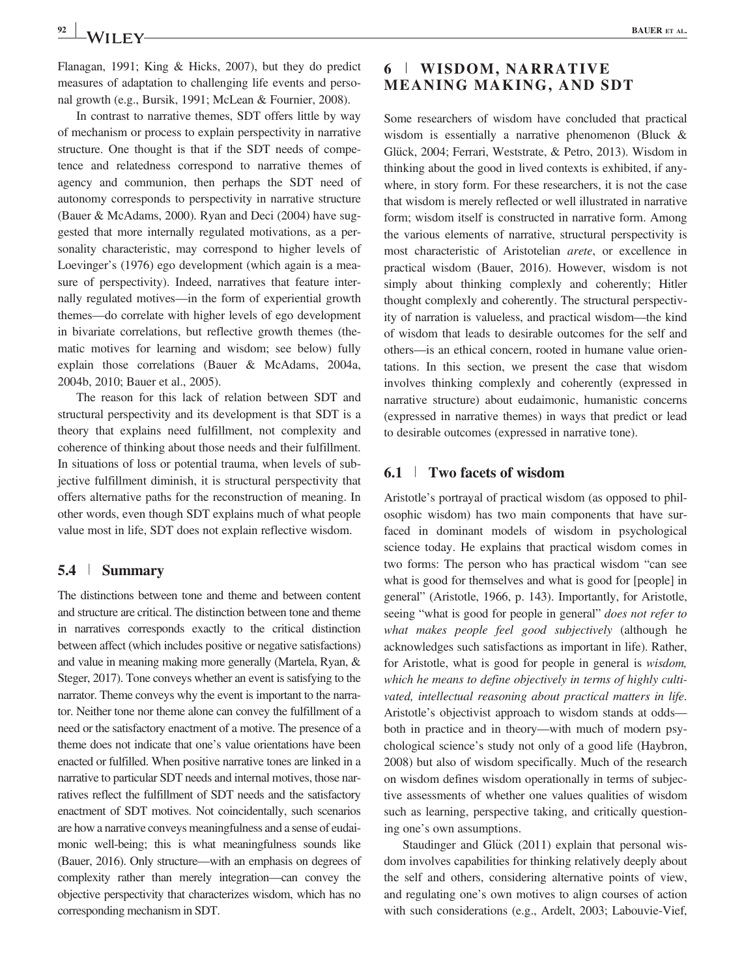Flanagan, 1991; King & Hicks, 2007), but they do predict measures of adaptation to challenging life events and personal growth (e.g., Bursik, 1991; McLean & Fournier, 2008).

In contrast to narrative themes, SDT offers little by way of mechanism or process to explain perspectivity in narrative structure. One thought is that if the SDT needs of competence and relatedness correspond to narrative themes of agency and communion, then perhaps the SDT need of autonomy corresponds to perspectivity in narrative structure (Bauer & McAdams, 2000). Ryan and Deci (2004) have suggested that more internally regulated motivations, as a personality characteristic, may correspond to higher levels of Loevinger's (1976) ego development (which again is a measure of perspectivity). Indeed, narratives that feature internally regulated motives—in the form of experiential growth themes—do correlate with higher levels of ego development in bivariate correlations, but reflective growth themes (thematic motives for learning and wisdom; see below) fully explain those correlations (Bauer & McAdams, 2004a, 2004b, 2010; Bauer et al., 2005).

The reason for this lack of relation between SDT and structural perspectivity and its development is that SDT is a theory that explains need fulfillment, not complexity and coherence of thinking about those needs and their fulfillment. In situations of loss or potential trauma, when levels of subjective fulfillment diminish, it is structural perspectivity that offers alternative paths for the reconstruction of meaning. In other words, even though SDT explains much of what people value most in life, SDT does not explain reflective wisdom.

#### 5.4 <sup>|</sup> Summary

The distinctions between tone and theme and between content and structure are critical. The distinction between tone and theme in narratives corresponds exactly to the critical distinction between affect (which includes positive or negative satisfactions) and value in meaning making more generally (Martela, Ryan, & Steger, 2017). Tone conveys whether an event is satisfying to the narrator. Theme conveys why the event is important to the narrator. Neither tone nor theme alone can convey the fulfillment of a need or the satisfactory enactment of a motive. The presence of a theme does not indicate that one's value orientations have been enacted or fulfilled. When positive narrative tones are linked in a narrative to particular SDT needs and internal motives, those narratives reflect the fulfillment of SDT needs and the satisfactory enactment of SDT motives. Not coincidentally, such scenarios are how a narrative conveys meaningfulness and a sense of eudaimonic well-being; this is what meaningfulness sounds like (Bauer, 2016). Only structure—with an emphasis on degrees of complexity rather than merely integration—can convey the objective perspectivity that characterizes wisdom, which has no corresponding mechanism in SDT.

## 6 <sup>|</sup> WISDOM, NARRATIVE MEANING MAKING, AND SDT

Some researchers of wisdom have concluded that practical wisdom is essentially a narrative phenomenon (Bluck & Glück, 2004; Ferrari, Weststrate, & Petro, 2013). Wisdom in thinking about the good in lived contexts is exhibited, if anywhere, in story form. For these researchers, it is not the case that wisdom is merely reflected or well illustrated in narrative form; wisdom itself is constructed in narrative form. Among the various elements of narrative, structural perspectivity is most characteristic of Aristotelian arete, or excellence in practical wisdom (Bauer, 2016). However, wisdom is not simply about thinking complexly and coherently; Hitler thought complexly and coherently. The structural perspectivity of narration is valueless, and practical wisdom—the kind of wisdom that leads to desirable outcomes for the self and others—is an ethical concern, rooted in humane value orientations. In this section, we present the case that wisdom involves thinking complexly and coherently (expressed in narrative structure) about eudaimonic, humanistic concerns (expressed in narrative themes) in ways that predict or lead to desirable outcomes (expressed in narrative tone).

#### 6.1 <sup>|</sup> Two facets of wisdom

Aristotle's portrayal of practical wisdom (as opposed to philosophic wisdom) has two main components that have surfaced in dominant models of wisdom in psychological science today. He explains that practical wisdom comes in two forms: The person who has practical wisdom "can see what is good for themselves and what is good for [people] in general" (Aristotle, 1966, p. 143). Importantly, for Aristotle, seeing "what is good for people in general" does not refer to what makes people feel good subjectively (although he acknowledges such satisfactions as important in life). Rather, for Aristotle, what is good for people in general is wisdom, which he means to define objectively in terms of highly cultivated, intellectual reasoning about practical matters in life. Aristotle's objectivist approach to wisdom stands at odds both in practice and in theory—with much of modern psychological science's study not only of a good life (Haybron, 2008) but also of wisdom specifically. Much of the research on wisdom defines wisdom operationally in terms of subjective assessments of whether one values qualities of wisdom such as learning, perspective taking, and critically questioning one's own assumptions.

Staudinger and Glück (2011) explain that personal wisdom involves capabilities for thinking relatively deeply about the self and others, considering alternative points of view, and regulating one's own motives to align courses of action with such considerations (e.g., Ardelt, 2003; Labouvie-Vief,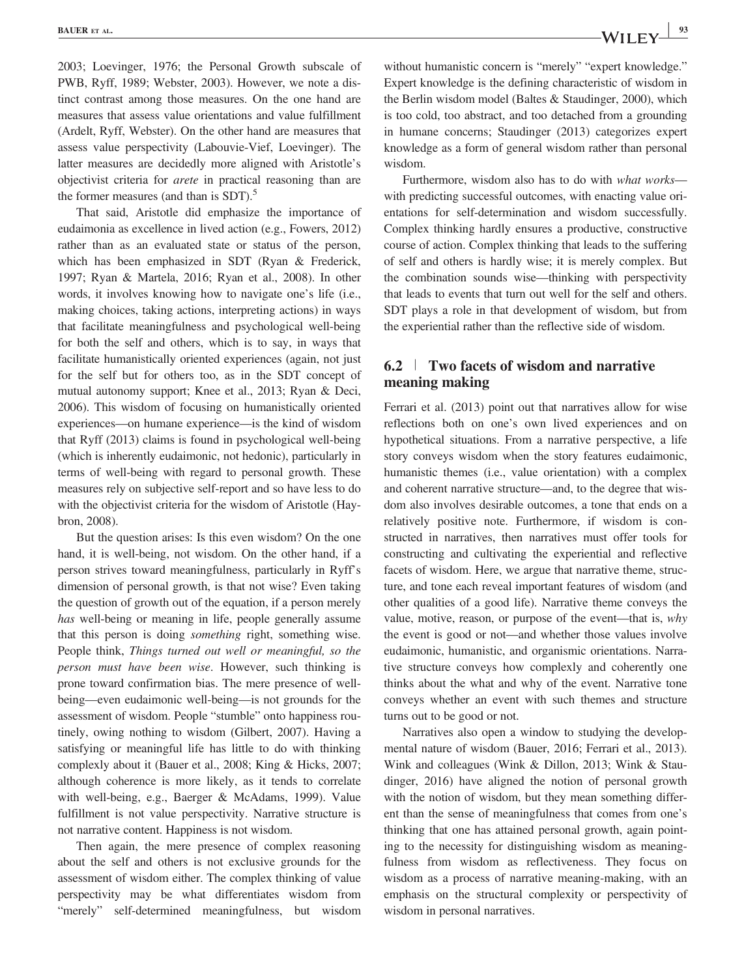2003; Loevinger, 1976; the Personal Growth subscale of PWB, Ryff, 1989; Webster, 2003). However, we note a distinct contrast among those measures. On the one hand are measures that assess value orientations and value fulfillment (Ardelt, Ryff, Webster). On the other hand are measures that assess value perspectivity (Labouvie-Vief, Loevinger). The latter measures are decidedly more aligned with Aristotle's objectivist criteria for arete in practical reasoning than are the former measures (and than is  $SDT$ ).<sup>5</sup>

That said, Aristotle did emphasize the importance of eudaimonia as excellence in lived action (e.g., Fowers, 2012) rather than as an evaluated state or status of the person, which has been emphasized in SDT (Ryan & Frederick, 1997; Ryan & Martela, 2016; Ryan et al., 2008). In other words, it involves knowing how to navigate one's life (i.e., making choices, taking actions, interpreting actions) in ways that facilitate meaningfulness and psychological well-being for both the self and others, which is to say, in ways that facilitate humanistically oriented experiences (again, not just for the self but for others too, as in the SDT concept of mutual autonomy support; Knee et al., 2013; Ryan & Deci, 2006). This wisdom of focusing on humanistically oriented experiences—on humane experience—is the kind of wisdom that Ryff (2013) claims is found in psychological well-being (which is inherently eudaimonic, not hedonic), particularly in terms of well-being with regard to personal growth. These measures rely on subjective self-report and so have less to do with the objectivist criteria for the wisdom of Aristotle (Haybron, 2008).

But the question arises: Is this even wisdom? On the one hand, it is well-being, not wisdom. On the other hand, if a person strives toward meaningfulness, particularly in Ryff's dimension of personal growth, is that not wise? Even taking the question of growth out of the equation, if a person merely has well-being or meaning in life, people generally assume that this person is doing something right, something wise. People think, Things turned out well or meaningful, so the person must have been wise. However, such thinking is prone toward confirmation bias. The mere presence of wellbeing—even eudaimonic well-being—is not grounds for the assessment of wisdom. People "stumble" onto happiness routinely, owing nothing to wisdom (Gilbert, 2007). Having a satisfying or meaningful life has little to do with thinking complexly about it (Bauer et al., 2008; King & Hicks, 2007; although coherence is more likely, as it tends to correlate with well-being, e.g., Baerger & McAdams, 1999). Value fulfillment is not value perspectivity. Narrative structure is not narrative content. Happiness is not wisdom.

Then again, the mere presence of complex reasoning about the self and others is not exclusive grounds for the assessment of wisdom either. The complex thinking of value perspectivity may be what differentiates wisdom from "merely" self-determined meaningfulness, but wisdom

without humanistic concern is "merely" "expert knowledge." Expert knowledge is the defining characteristic of wisdom in the Berlin wisdom model (Baltes & Staudinger, 2000), which is too cold, too abstract, and too detached from a grounding in humane concerns; Staudinger (2013) categorizes expert knowledge as a form of general wisdom rather than personal wisdom.

Furthermore, wisdom also has to do with what works with predicting successful outcomes, with enacting value orientations for self-determination and wisdom successfully. Complex thinking hardly ensures a productive, constructive course of action. Complex thinking that leads to the suffering of self and others is hardly wise; it is merely complex. But the combination sounds wise—thinking with perspectivity that leads to events that turn out well for the self and others. SDT plays a role in that development of wisdom, but from the experiential rather than the reflective side of wisdom.

## 6.2 <sup>|</sup> Two facets of wisdom and narrative meaning making

Ferrari et al. (2013) point out that narratives allow for wise reflections both on one's own lived experiences and on hypothetical situations. From a narrative perspective, a life story conveys wisdom when the story features eudaimonic, humanistic themes (i.e., value orientation) with a complex and coherent narrative structure—and, to the degree that wisdom also involves desirable outcomes, a tone that ends on a relatively positive note. Furthermore, if wisdom is constructed in narratives, then narratives must offer tools for constructing and cultivating the experiential and reflective facets of wisdom. Here, we argue that narrative theme, structure, and tone each reveal important features of wisdom (and other qualities of a good life). Narrative theme conveys the value, motive, reason, or purpose of the event—that is, why the event is good or not—and whether those values involve eudaimonic, humanistic, and organismic orientations. Narrative structure conveys how complexly and coherently one thinks about the what and why of the event. Narrative tone conveys whether an event with such themes and structure turns out to be good or not.

Narratives also open a window to studying the developmental nature of wisdom (Bauer, 2016; Ferrari et al., 2013). Wink and colleagues (Wink & Dillon, 2013; Wink & Staudinger, 2016) have aligned the notion of personal growth with the notion of wisdom, but they mean something different than the sense of meaningfulness that comes from one's thinking that one has attained personal growth, again pointing to the necessity for distinguishing wisdom as meaningfulness from wisdom as reflectiveness. They focus on wisdom as a process of narrative meaning-making, with an emphasis on the structural complexity or perspectivity of wisdom in personal narratives.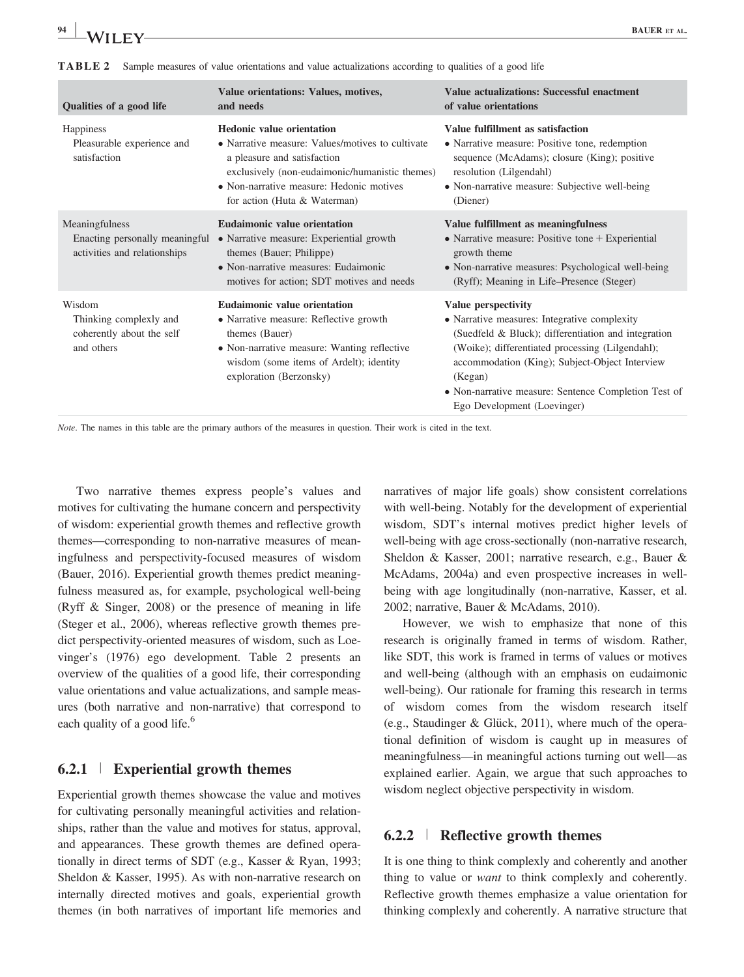|  | <b>TABLE 2</b> Sample measures of value orientations and value actualizations according to qualities of a good life |
|--|---------------------------------------------------------------------------------------------------------------------|
|--|---------------------------------------------------------------------------------------------------------------------|

| Qualities of a good life                                                         | Value orientations: Values, motives,<br>and needs                                                                                                                                                                                                 | Value actualizations: Successful enactment<br>of value orientations                                                                                                                                                                                                                                                                |
|----------------------------------------------------------------------------------|---------------------------------------------------------------------------------------------------------------------------------------------------------------------------------------------------------------------------------------------------|------------------------------------------------------------------------------------------------------------------------------------------------------------------------------------------------------------------------------------------------------------------------------------------------------------------------------------|
| Happiness<br>Pleasurable experience and<br>satisfaction                          | <b>Hedonic value orientation</b><br>• Narrative measure: Values/motives to cultivate<br>a pleasure and satisfaction<br>exclusively (non-eudaimonic/humanistic themes)<br>• Non-narrative measure: Hedonic motives<br>for action (Huta & Waterman) | Value fulfillment as satisfaction<br>• Narrative measure: Positive tone, redemption<br>sequence (McAdams); closure (King); positive<br>resolution (Lilgendahl)<br>• Non-narrative measure: Subjective well-being<br>(Diener)                                                                                                       |
| Meaningfulness<br>Enacting personally meaningful<br>activities and relationships | <b>Eudaimonic value orientation</b><br>• Narrative measure: Experiential growth<br>themes (Bauer; Philippe)<br>• Non-narrative measures: Eudaimonic<br>motives for action; SDT motives and needs                                                  | Value fulfillment as meaningfulness<br>• Narrative measure: Positive tone $+$ Experiential<br>growth theme<br>• Non-narrative measures: Psychological well-being<br>(Ryff); Meaning in Life–Presence (Steger)                                                                                                                      |
| Wisdom<br>Thinking complexly and<br>coherently about the self<br>and others      | Eudaimonic value orientation<br>• Narrative measure: Reflective growth<br>themes (Bauer)<br>• Non-narrative measure: Wanting reflective<br>wisdom (some items of Ardelt); identity<br>exploration (Berzonsky)                                     | Value perspectivity<br>• Narrative measures: Integrative complexity<br>(Suedfeld & Bluck); differentiation and integration<br>(Woike); differentiated processing (Lilgendahl);<br>accommodation (King); Subject-Object Interview<br>(Kegan)<br>• Non-narrative measure: Sentence Completion Test of<br>Ego Development (Loevinger) |

Note. The names in this table are the primary authors of the measures in question. Their work is cited in the text.

Two narrative themes express people's values and motives for cultivating the humane concern and perspectivity of wisdom: experiential growth themes and reflective growth themes—corresponding to non-narrative measures of meaningfulness and perspectivity-focused measures of wisdom (Bauer, 2016). Experiential growth themes predict meaningfulness measured as, for example, psychological well-being (Ryff & Singer, 2008) or the presence of meaning in life (Steger et al., 2006), whereas reflective growth themes predict perspectivity-oriented measures of wisdom, such as Loevinger's (1976) ego development. Table 2 presents an overview of the qualities of a good life, their corresponding value orientations and value actualizations, and sample measures (both narrative and non-narrative) that correspond to each quality of a good life.<sup>6</sup>

#### $6.2.1$  | Experiential growth themes

Experiential growth themes showcase the value and motives for cultivating personally meaningful activities and relationships, rather than the value and motives for status, approval, and appearances. These growth themes are defined operationally in direct terms of SDT (e.g., Kasser & Ryan, 1993; Sheldon & Kasser, 1995). As with non-narrative research on internally directed motives and goals, experiential growth themes (in both narratives of important life memories and narratives of major life goals) show consistent correlations with well-being. Notably for the development of experiential wisdom, SDT's internal motives predict higher levels of well-being with age cross-sectionally (non-narrative research, Sheldon & Kasser, 2001; narrative research, e.g., Bauer & McAdams, 2004a) and even prospective increases in wellbeing with age longitudinally (non-narrative, Kasser, et al. 2002; narrative, Bauer & McAdams, 2010).

However, we wish to emphasize that none of this research is originally framed in terms of wisdom. Rather, like SDT, this work is framed in terms of values or motives and well-being (although with an emphasis on eudaimonic well-being). Our rationale for framing this research in terms of wisdom comes from the wisdom research itself (e.g., Staudinger & Glück, 2011), where much of the operational definition of wisdom is caught up in measures of meaningfulness—in meaningful actions turning out well—as explained earlier. Again, we argue that such approaches to wisdom neglect objective perspectivity in wisdom.

#### 6.2.2 <sup>|</sup> Reflective growth themes

It is one thing to think complexly and coherently and another thing to value or want to think complexly and coherently. Reflective growth themes emphasize a value orientation for thinking complexly and coherently. A narrative structure that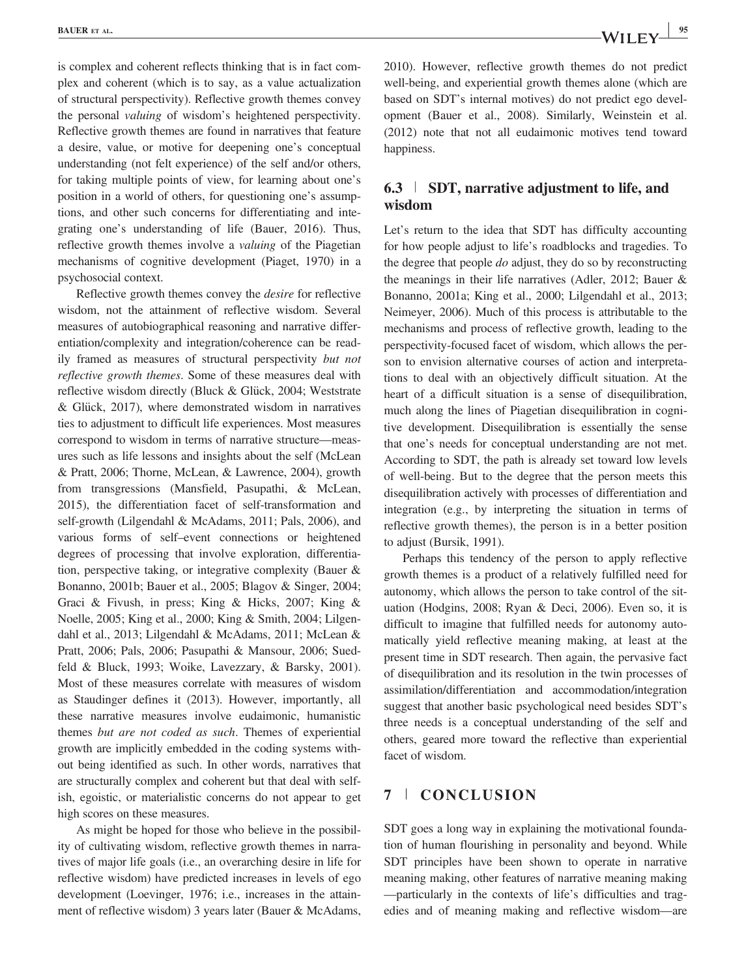is complex and coherent reflects thinking that is in fact complex and coherent (which is to say, as a value actualization of structural perspectivity). Reflective growth themes convey the personal valuing of wisdom's heightened perspectivity. Reflective growth themes are found in narratives that feature a desire, value, or motive for deepening one's conceptual understanding (not felt experience) of the self and/or others, for taking multiple points of view, for learning about one's position in a world of others, for questioning one's assumptions, and other such concerns for differentiating and integrating one's understanding of life (Bauer, 2016). Thus, reflective growth themes involve a valuing of the Piagetian mechanisms of cognitive development (Piaget, 1970) in a psychosocial context.

Reflective growth themes convey the desire for reflective wisdom, not the attainment of reflective wisdom. Several measures of autobiographical reasoning and narrative differentiation/complexity and integration/coherence can be readily framed as measures of structural perspectivity but not reflective growth themes. Some of these measures deal with reflective wisdom directly (Bluck & Glück, 2004; Weststrate  $& Glück, 2017),$  where demonstrated wisdom in narratives ties to adjustment to difficult life experiences. Most measures correspond to wisdom in terms of narrative structure—measures such as life lessons and insights about the self (McLean & Pratt, 2006; Thorne, McLean, & Lawrence, 2004), growth from transgressions (Mansfield, Pasupathi, & McLean, 2015), the differentiation facet of self-transformation and self-growth (Lilgendahl & McAdams, 2011; Pals, 2006), and various forms of self–event connections or heightened degrees of processing that involve exploration, differentiation, perspective taking, or integrative complexity (Bauer & Bonanno, 2001b; Bauer et al., 2005; Blagov & Singer, 2004; Graci & Fivush, in press; King & Hicks, 2007; King & Noelle, 2005; King et al., 2000; King & Smith, 2004; Lilgendahl et al., 2013; Lilgendahl & McAdams, 2011; McLean & Pratt, 2006; Pals, 2006; Pasupathi & Mansour, 2006; Suedfeld & Bluck, 1993; Woike, Lavezzary, & Barsky, 2001). Most of these measures correlate with measures of wisdom as Staudinger defines it (2013). However, importantly, all these narrative measures involve eudaimonic, humanistic themes but are not coded as such. Themes of experiential growth are implicitly embedded in the coding systems without being identified as such. In other words, narratives that are structurally complex and coherent but that deal with selfish, egoistic, or materialistic concerns do not appear to get high scores on these measures.

As might be hoped for those who believe in the possibility of cultivating wisdom, reflective growth themes in narratives of major life goals (i.e., an overarching desire in life for reflective wisdom) have predicted increases in levels of ego development (Loevinger, 1976; i.e., increases in the attainment of reflective wisdom) 3 years later (Bauer & McAdams, 2010). However, reflective growth themes do not predict well-being, and experiential growth themes alone (which are based on SDT's internal motives) do not predict ego development (Bauer et al., 2008). Similarly, Weinstein et al. (2012) note that not all eudaimonic motives tend toward happiness.

## 6.3 <sup>|</sup> SDT, narrative adjustment to life, and wisdom

Let's return to the idea that SDT has difficulty accounting for how people adjust to life's roadblocks and tragedies. To the degree that people *do* adjust, they do so by reconstructing the meanings in their life narratives (Adler, 2012; Bauer & Bonanno, 2001a; King et al., 2000; Lilgendahl et al., 2013; Neimeyer, 2006). Much of this process is attributable to the mechanisms and process of reflective growth, leading to the perspectivity-focused facet of wisdom, which allows the person to envision alternative courses of action and interpretations to deal with an objectively difficult situation. At the heart of a difficult situation is a sense of disequilibration, much along the lines of Piagetian disequilibration in cognitive development. Disequilibration is essentially the sense that one's needs for conceptual understanding are not met. According to SDT, the path is already set toward low levels of well-being. But to the degree that the person meets this disequilibration actively with processes of differentiation and integration (e.g., by interpreting the situation in terms of reflective growth themes), the person is in a better position to adjust (Bursik, 1991).

Perhaps this tendency of the person to apply reflective growth themes is a product of a relatively fulfilled need for autonomy, which allows the person to take control of the situation (Hodgins, 2008; Ryan & Deci, 2006). Even so, it is difficult to imagine that fulfilled needs for autonomy automatically yield reflective meaning making, at least at the present time in SDT research. Then again, the pervasive fact of disequilibration and its resolution in the twin processes of assimilation/differentiation and accommodation/integration suggest that another basic psychological need besides SDT's three needs is a conceptual understanding of the self and others, geared more toward the reflective than experiential facet of wisdom.

#### 7 <sup>|</sup> CONCLUSION

SDT goes a long way in explaining the motivational foundation of human flourishing in personality and beyond. While SDT principles have been shown to operate in narrative meaning making, other features of narrative meaning making —particularly in the contexts of life's difficulties and tragedies and of meaning making and reflective wisdom—are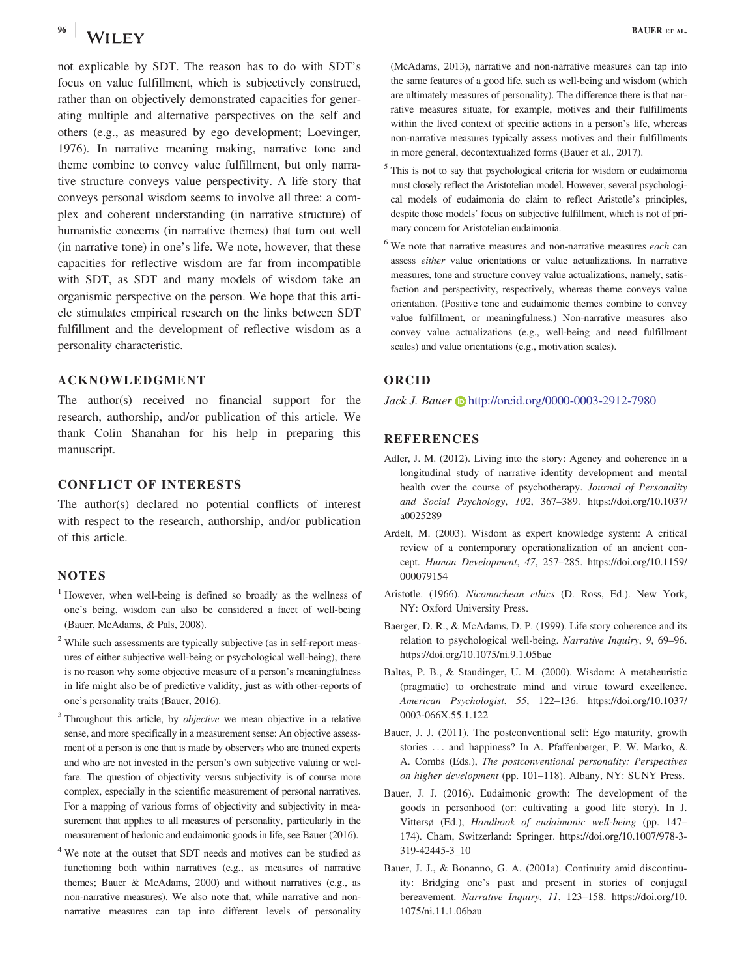not explicable by SDT. The reason has to do with SDT's focus on value fulfillment, which is subjectively construed, rather than on objectively demonstrated capacities for generating multiple and alternative perspectives on the self and others (e.g., as measured by ego development; Loevinger, 1976). In narrative meaning making, narrative tone and theme combine to convey value fulfillment, but only narrative structure conveys value perspectivity. A life story that conveys personal wisdom seems to involve all three: a complex and coherent understanding (in narrative structure) of humanistic concerns (in narrative themes) that turn out well (in narrative tone) in one's life. We note, however, that these capacities for reflective wisdom are far from incompatible with SDT, as SDT and many models of wisdom take an organismic perspective on the person. We hope that this article stimulates empirical research on the links between SDT fulfillment and the development of reflective wisdom as a personality characteristic.

#### ACKNOWLEDGMENT

The author(s) received no financial support for the research, authorship, and/or publication of this article. We thank Colin Shanahan for his help in preparing this manuscript.

#### CONFLICT OF INTERESTS

The author(s) declared no potential conflicts of interest with respect to the research, authorship, and/or publication of this article.

#### **NOTES**

- <sup>1</sup> However, when well-being is defined so broadly as the wellness of one's being, wisdom can also be considered a facet of well-being (Bauer, McAdams, & Pals, 2008).
- <sup>2</sup> While such assessments are typically subjective (as in self-report measures of either subjective well-being or psychological well-being), there is no reason why some objective measure of a person's meaningfulness in life might also be of predictive validity, just as with other-reports of one's personality traits (Bauer, 2016).
- <sup>3</sup> Throughout this article, by *objective* we mean objective in a relative sense, and more specifically in a measurement sense: An objective assessment of a person is one that is made by observers who are trained experts and who are not invested in the person's own subjective valuing or welfare. The question of objectivity versus subjectivity is of course more complex, especially in the scientific measurement of personal narratives. For a mapping of various forms of objectivity and subjectivity in measurement that applies to all measures of personality, particularly in the measurement of hedonic and eudaimonic goods in life, see Bauer (2016).
- <sup>4</sup> We note at the outset that SDT needs and motives can be studied as functioning both within narratives (e.g., as measures of narrative themes; Bauer & McAdams, 2000) and without narratives (e.g., as non-narrative measures). We also note that, while narrative and nonnarrative measures can tap into different levels of personality

(McAdams, 2013), narrative and non-narrative measures can tap into the same features of a good life, such as well-being and wisdom (which are ultimately measures of personality). The difference there is that narrative measures situate, for example, motives and their fulfillments within the lived context of specific actions in a person's life, whereas non-narrative measures typically assess motives and their fulfillments in more general, decontextualized forms (Bauer et al., 2017).

- <sup>5</sup> This is not to say that psychological criteria for wisdom or eudaimonia must closely reflect the Aristotelian model. However, several psychological models of eudaimonia do claim to reflect Aristotle's principles, despite those models' focus on subjective fulfillment, which is not of primary concern for Aristotelian eudaimonia.
- $6$  We note that narrative measures and non-narrative measures *each* can assess either value orientations or value actualizations. In narrative measures, tone and structure convey value actualizations, namely, satisfaction and perspectivity, respectively, whereas theme conveys value orientation. (Positive tone and eudaimonic themes combine to convey value fulfillment, or meaningfulness.) Non-narrative measures also convey value actualizations (e.g., well-being and need fulfillment scales) and value orientations (e.g., motivation scales).

#### ORCID

Jack J. Bauer (b) <http://orcid.org/0000-0003-2912-7980>

#### REFERENCES

- Adler, J. M. (2012). Living into the story: Agency and coherence in a longitudinal study of narrative identity development and mental health over the course of psychotherapy. Journal of Personality and Social Psychology, 102, 367–389. [https://doi.org/10.1037/](https://doi.org/10.1037/a0025289) [a0025289](https://doi.org/10.1037/a0025289)
- Ardelt, M. (2003). Wisdom as expert knowledge system: A critical review of a contemporary operationalization of an ancient concept. Human Development, 47, 257–285. [https://doi.org/10.1159/](https://doi.org/10.1159/000079154) [000079154](https://doi.org/10.1159/000079154)
- Aristotle. (1966). Nicomachean ethics (D. Ross, Ed.). New York, NY: Oxford University Press.
- Baerger, D. R., & McAdams, D. P. (1999). Life story coherence and its relation to psychological well-being. Narrative Inquiry, 9, 69–96. <https://doi.org/10.1075/ni.9.1.05bae>
- Baltes, P. B., & Staudinger, U. M. (2000). Wisdom: A metaheuristic (pragmatic) to orchestrate mind and virtue toward excellence. American Psychologist, 55, 122–136. [https://doi.org/10.1037/](https://doi.org/10.1037/0003-066X.55.1.122) [0003-066X.55.1.122](https://doi.org/10.1037/0003-066X.55.1.122)
- Bauer, J. J. (2011). The postconventional self: Ego maturity, growth stories ... and happiness? In A. Pfaffenberger, P. W. Marko, & A. Combs (Eds.), The postconventional personality: Perspectives on higher development (pp. 101–118). Albany, NY: SUNY Press.
- Bauer, J. J. (2016). Eudaimonic growth: The development of the goods in personhood (or: cultivating a good life story). In J. Vittersø (Ed.), Handbook of eudaimonic well-being (pp. 147– 174). Cham, Switzerland: Springer. [https://doi.org/10.1007/978-3-](https://doi.org/10.1007/978-3-319-42445-3_10) [319-42445-3\\_10](https://doi.org/10.1007/978-3-319-42445-3_10)
- Bauer, J. J., & Bonanno, G. A. (2001a). Continuity amid discontinuity: Bridging one's past and present in stories of conjugal bereavement. Narrative Inquiry, 11, 123–158. [https://doi.org/10.](https://doi.org/10.1075/ni.11.1.06bau) [1075/ni.11.1.06bau](https://doi.org/10.1075/ni.11.1.06bau)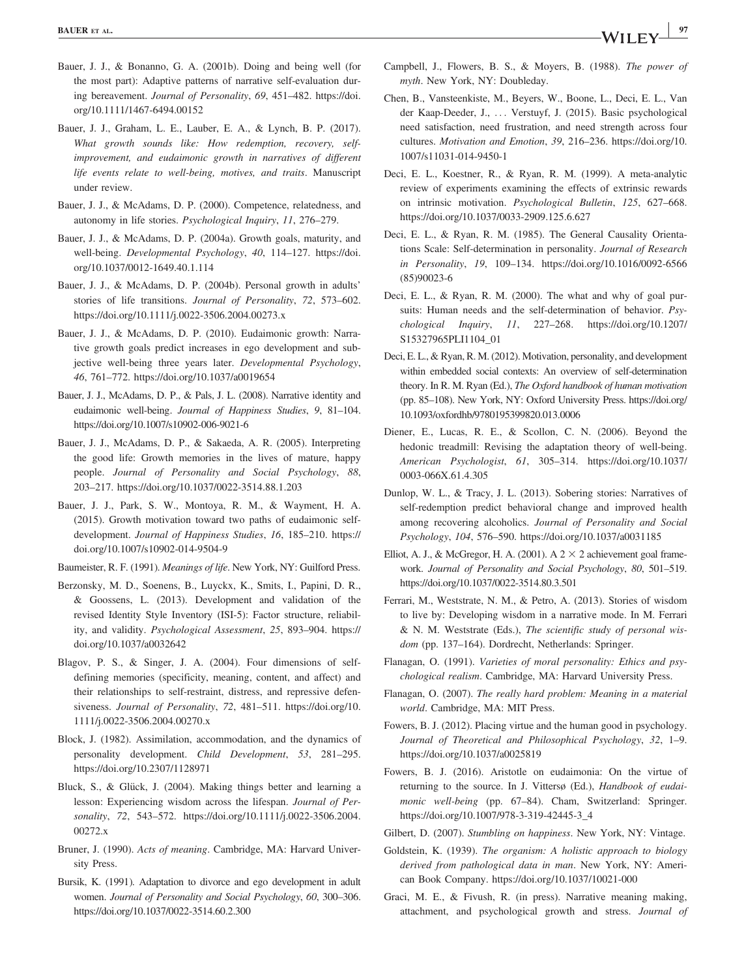- Bauer, J. J., & Bonanno, G. A. (2001b). Doing and being well (for the most part): Adaptive patterns of narrative self-evaluation during bereavement. Journal of Personality, 69, 451–482. [https://doi.](https://doi.org/10.1111/1467-6494.00152) [org/10.1111/1467-6494.00152](https://doi.org/10.1111/1467-6494.00152)
- Bauer, J. J., Graham, L. E., Lauber, E. A., & Lynch, B. P. (2017). What growth sounds like: How redemption, recovery, selfimprovement, and eudaimonic growth in narratives of different life events relate to well-being, motives, and traits. Manuscript under review.
- Bauer, J. J., & McAdams, D. P. (2000). Competence, relatedness, and autonomy in life stories. Psychological Inquiry, 11, 276–279.
- Bauer, J. J., & McAdams, D. P. (2004a). Growth goals, maturity, and well-being. Developmental Psychology, 40, 114–127. [https://doi.](https://doi.org/10.1037/0012-1649.40.1.114) [org/10.1037/0012-1649.40.1.114](https://doi.org/10.1037/0012-1649.40.1.114)
- Bauer, J. J., & McAdams, D. P. (2004b). Personal growth in adults' stories of life transitions. Journal of Personality, 72, 573–602. <https://doi.org/10.1111/j.0022-3506.2004.00273.x>
- Bauer, J. J., & McAdams, D. P. (2010). Eudaimonic growth: Narrative growth goals predict increases in ego development and subjective well-being three years later. Developmental Psychology, 46, 761–772.<https://doi.org/10.1037/a0019654>
- Bauer, J. J., McAdams, D. P., & Pals, J. L. (2008). Narrative identity and eudaimonic well-being. Journal of Happiness Studies, 9, 81–104. <https://doi.org/10.1007/s10902-006-9021-6>
- Bauer, J. J., McAdams, D. P., & Sakaeda, A. R. (2005). Interpreting the good life: Growth memories in the lives of mature, happy people. Journal of Personality and Social Psychology, 88, 203–217.<https://doi.org/10.1037/0022-3514.88.1.203>
- Bauer, J. J., Park, S. W., Montoya, R. M., & Wayment, H. A. (2015). Growth motivation toward two paths of eudaimonic selfdevelopment. Journal of Happiness Studies, 16, 185–210. [https://](https://doi.org/10.1007/s10902-014-9504-9) [doi.org/10.1007/s10902-014-9504-9](https://doi.org/10.1007/s10902-014-9504-9)
- Baumeister, R. F. (1991). Meanings of life. New York, NY: Guilford Press.
- Berzonsky, M. D., Soenens, B., Luyckx, K., Smits, I., Papini, D. R., & Goossens, L. (2013). Development and validation of the revised Identity Style Inventory (ISI-5): Factor structure, reliability, and validity. Psychological Assessment, 25, 893–904. [https://](https://doi.org/10.1037/a0032642) [doi.org/10.1037/a0032642](https://doi.org/10.1037/a0032642)
- Blagov, P. S., & Singer, J. A. (2004). Four dimensions of selfdefining memories (specificity, meaning, content, and affect) and their relationships to self-restraint, distress, and repressive defensiveness. Journal of Personality, 72, 481–511. [https://doi.org/10.](https://doi.org/10.1111/j.0022-3506.2004.00270.x) [1111/j.0022-3506.2004.00270.x](https://doi.org/10.1111/j.0022-3506.2004.00270.x)
- Block, J. (1982). Assimilation, accommodation, and the dynamics of personality development. Child Development, 53, 281–295. <https://doi.org/10.2307/1128971>
- Bluck, S., & Glück, J. (2004). Making things better and learning a lesson: Experiencing wisdom across the lifespan. Journal of Personality, 72, 543–572. [https://doi.org/10.1111/j.0022-3506.2004.](https://doi.org/10.1111/j.0022-3506.2004.00272.x) [00272.x](https://doi.org/10.1111/j.0022-3506.2004.00272.x)
- Bruner, J. (1990). Acts of meaning. Cambridge, MA: Harvard University Press.
- Bursik, K. (1991). Adaptation to divorce and ego development in adult women. Journal of Personality and Social Psychology, 60, 300–306. <https://doi.org/10.1037/0022-3514.60.2.300>
- Campbell, J., Flowers, B. S., & Moyers, B. (1988). The power of myth. New York, NY: Doubleday.
- Chen, B., Vansteenkiste, M., Beyers, W., Boone, L., Deci, E. L., Van der Kaap-Deeder, J., ... Verstuyf, J. (2015). Basic psychological need satisfaction, need frustration, and need strength across four cultures. Motivation and Emotion, 39, 216–236. [https://doi.org/10.](https://doi.org/10.1007/s11031-014-9450-1) [1007/s11031-014-9450-1](https://doi.org/10.1007/s11031-014-9450-1)
- Deci, E. L., Koestner, R., & Ryan, R. M. (1999). A meta-analytic review of experiments examining the effects of extrinsic rewards on intrinsic motivation. Psychological Bulletin, 125, 627–668. <https://doi.org/10.1037/0033-2909.125.6.627>
- Deci, E. L., & Ryan, R. M. (1985). The General Causality Orientations Scale: Self-determination in personality. Journal of Research in Personality, 19, 109–134. [https://doi.org/10.1016/0092-6566](https://doi.org/10.1016/0092-6566(85)90023-6) [\(85\)90023-6](https://doi.org/10.1016/0092-6566(85)90023-6)
- Deci, E. L., & Ryan, R. M. (2000). The what and why of goal pursuits: Human needs and the self-determination of behavior. Psychological Inquiry, 11, 227–268. [https://doi.org/10.1207/](https://doi.org/10.1207/S15327965PLI1104_01) [S15327965PLI1104\\_01](https://doi.org/10.1207/S15327965PLI1104_01)
- Deci, E. L., & Ryan, R. M. (2012). Motivation, personality, and development within embedded social contexts: An overview of self-determination theory. In R. M. Ryan (Ed.), The Oxford handbook of human motivation (pp. 85–108). New York, NY: Oxford University Press. [https://doi.org/](https://doi.org/10.1093/oxfordhb/9780195399820.013.0006) [10.1093/oxfordhb/9780195399820.013.0006](https://doi.org/10.1093/oxfordhb/9780195399820.013.0006)
- Diener, E., Lucas, R. E., & Scollon, C. N. (2006). Beyond the hedonic treadmill: Revising the adaptation theory of well-being. American Psychologist, 61, 305–314. [https://doi.org/10.1037/](https://doi.org/10.1037/0003-066X.61.4.305) [0003-066X.61.4.305](https://doi.org/10.1037/0003-066X.61.4.305)
- Dunlop, W. L., & Tracy, J. L. (2013). Sobering stories: Narratives of self-redemption predict behavioral change and improved health among recovering alcoholics. Journal of Personality and Social Psychology, 104, 576–590.<https://doi.org/10.1037/a0031185>
- Elliot, A. J., & McGregor, H. A. (2001). A  $2 \times 2$  achievement goal framework. Journal of Personality and Social Psychology, 80, 501–519. <https://doi.org/10.1037/0022-3514.80.3.501>
- Ferrari, M., Weststrate, N. M., & Petro, A. (2013). Stories of wisdom to live by: Developing wisdom in a narrative mode. In M. Ferrari & N. M. Weststrate (Eds.), The scientific study of personal wisdom (pp. 137–164). Dordrecht, Netherlands: Springer.
- Flanagan, O. (1991). Varieties of moral personality: Ethics and psychological realism. Cambridge, MA: Harvard University Press.
- Flanagan, O. (2007). The really hard problem: Meaning in a material world. Cambridge, MA: MIT Press.
- Fowers, B. J. (2012). Placing virtue and the human good in psychology. Journal of Theoretical and Philosophical Psychology, 32, 1–9. <https://doi.org/10.1037/a0025819>
- Fowers, B. J. (2016). Aristotle on eudaimonia: On the virtue of returning to the source. In J. Vittersø (Ed.), Handbook of eudaimonic well-being (pp. 67–84). Cham, Switzerland: Springer. [https://doi.org/10.1007/978-3-319-42445-3\\_4](https://doi.org/10.1007/978-3-319-42445-3_4)
- Gilbert, D. (2007). Stumbling on happiness. New York, NY: Vintage.
- Goldstein, K. (1939). The organism: A holistic approach to biology derived from pathological data in man. New York, NY: American Book Company.<https://doi.org/10.1037/10021-000>
- Graci, M. E., & Fivush, R. (in press). Narrative meaning making, attachment, and psychological growth and stress. Journal of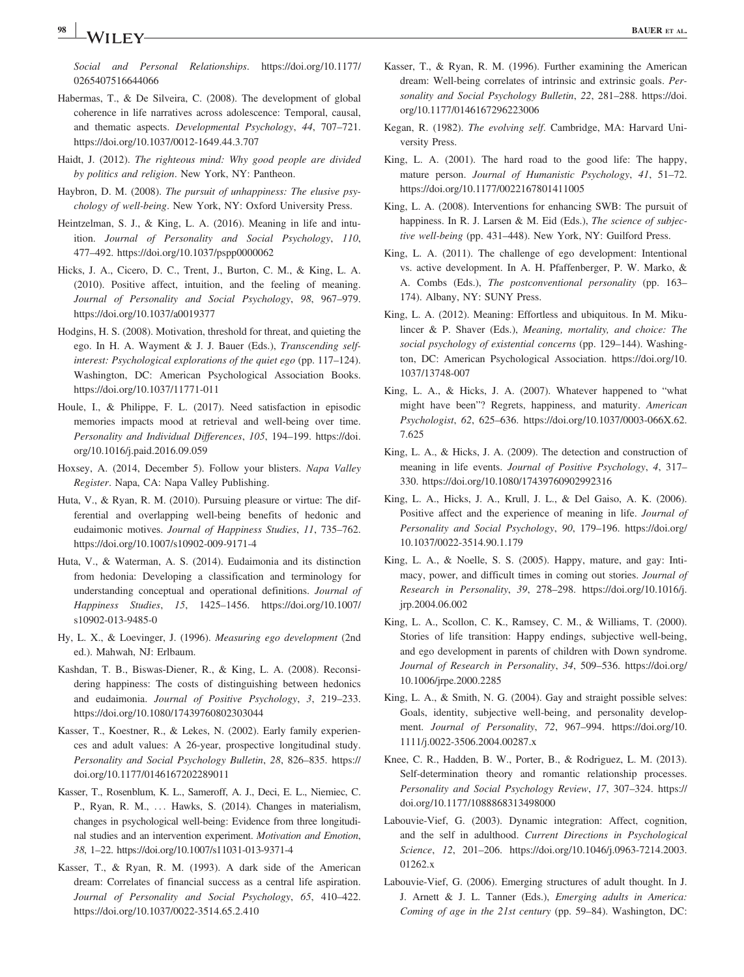Social and Personal Relationships. [https://doi.org/10.1177/](https://doi.org/10.1177/0265407516644066) [0265407516644066](https://doi.org/10.1177/0265407516644066)

- Habermas, T., & De Silveira, C. (2008). The development of global coherence in life narratives across adolescence: Temporal, causal, and thematic aspects. Developmental Psychology, 44, 707–721. <https://doi.org/10.1037/0012-1649.44.3.707>
- Haidt, J. (2012). The righteous mind: Why good people are divided by politics and religion. New York, NY: Pantheon.
- Haybron, D. M. (2008). The pursuit of unhappiness: The elusive psychology of well-being. New York, NY: Oxford University Press.
- Heintzelman, S. J., & King, L. A. (2016). Meaning in life and intuition. Journal of Personality and Social Psychology, 110, 477–492.<https://doi.org/10.1037/pspp0000062>
- Hicks, J. A., Cicero, D. C., Trent, J., Burton, C. M., & King, L. A. (2010). Positive affect, intuition, and the feeling of meaning. Journal of Personality and Social Psychology, 98, 967–979. <https://doi.org/10.1037/a0019377>
- Hodgins, H. S. (2008). Motivation, threshold for threat, and quieting the ego. In H. A. Wayment & J. J. Bauer (Eds.), Transcending selfinterest: Psychological explorations of the quiet ego (pp. 117–124). Washington, DC: American Psychological Association Books. <https://doi.org/10.1037/11771-011>
- Houle, I., & Philippe, F. L. (2017). Need satisfaction in episodic memories impacts mood at retrieval and well-being over time. Personality and Individual Differences, 105, 194–199. [https://doi.](https://doi.org/10.1016/j.paid.2016.09.059) [org/10.1016/j.paid.2016.09.059](https://doi.org/10.1016/j.paid.2016.09.059)
- Hoxsey, A. (2014, December 5). Follow your blisters. Napa Valley Register. Napa, CA: Napa Valley Publishing.
- Huta, V., & Ryan, R. M. (2010). Pursuing pleasure or virtue: The differential and overlapping well-being benefits of hedonic and eudaimonic motives. Journal of Happiness Studies, 11, 735–762. <https://doi.org/10.1007/s10902-009-9171-4>
- Huta, V., & Waterman, A. S. (2014). Eudaimonia and its distinction from hedonia: Developing a classification and terminology for understanding conceptual and operational definitions. Journal of Happiness Studies, 15, 1425–1456. [https://doi.org/10.1007/](https://doi.org/10.1007/s10902-013-9485-0) [s10902-013-9485-0](https://doi.org/10.1007/s10902-013-9485-0)
- Hy, L. X., & Loevinger, J. (1996). Measuring ego development (2nd ed.). Mahwah, NJ: Erlbaum.
- Kashdan, T. B., Biswas-Diener, R., & King, L. A. (2008). Reconsidering happiness: The costs of distinguishing between hedonics and eudaimonia. Journal of Positive Psychology, 3, 219–233. <https://doi.org/10.1080/17439760802303044>
- Kasser, T., Koestner, R., & Lekes, N. (2002). Early family experiences and adult values: A 26-year, prospective longitudinal study. Personality and Social Psychology Bulletin, 28, 826–835. [https://](https://doi.org/10.1177/0146167202289011) [doi.org/10.1177/0146167202289011](https://doi.org/10.1177/0146167202289011)
- Kasser, T., Rosenblum, K. L., Sameroff, A. J., Deci, E. L., Niemiec, C. P., Ryan, R. M., ... Hawks, S. (2014). Changes in materialism, changes in psychological well-being: Evidence from three longitudinal studies and an intervention experiment. Motivation and Emotion, 38, 1–22.<https://doi.org/10.1007/s11031-013-9371-4>
- Kasser, T., & Ryan, R. M. (1993). A dark side of the American dream: Correlates of financial success as a central life aspiration. Journal of Personality and Social Psychology, 65, 410–422. <https://doi.org/10.1037/0022-3514.65.2.410>
- Kasser, T., & Ryan, R. M. (1996). Further examining the American dream: Well-being correlates of intrinsic and extrinsic goals. Personality and Social Psychology Bulletin, 22, 281–288. [https://doi.](https://doi.org/10.1177/0146167296223006) [org/10.1177/0146167296223006](https://doi.org/10.1177/0146167296223006)
- Kegan, R. (1982). The evolving self. Cambridge, MA: Harvard University Press.
- King, L. A. (2001). The hard road to the good life: The happy, mature person. Journal of Humanistic Psychology, 41, 51–72. <https://doi.org/10.1177/0022167801411005>
- King, L. A. (2008). Interventions for enhancing SWB: The pursuit of happiness. In R. J. Larsen & M. Eid (Eds.), The science of subjective well-being (pp. 431–448). New York, NY: Guilford Press.
- King, L. A. (2011). The challenge of ego development: Intentional vs. active development. In A. H. Pfaffenberger, P. W. Marko, & A. Combs (Eds.), The postconventional personality (pp. 163– 174). Albany, NY: SUNY Press.
- King, L. A. (2012). Meaning: Effortless and ubiquitous. In M. Mikulincer & P. Shaver (Eds.), Meaning, mortality, and choice: The social psychology of existential concerns (pp. 129–144). Washington, DC: American Psychological Association. [https://doi.org/10.](https://doi.org/10.1037/13748-007) [1037/13748-007](https://doi.org/10.1037/13748-007)
- King, L. A., & Hicks, J. A. (2007). Whatever happened to "what might have been"? Regrets, happiness, and maturity. American Psychologist, 62, 625–636. [https://doi.org/10.1037/0003-066X.62.](https://doi.org/10.1037/0003-066X.62.7.625) [7.625](https://doi.org/10.1037/0003-066X.62.7.625)
- King, L. A., & Hicks, J. A. (2009). The detection and construction of meaning in life events. Journal of Positive Psychology, 4, 317– 330.<https://doi.org/10.1080/17439760902992316>
- King, L. A., Hicks, J. A., Krull, J. L., & Del Gaiso, A. K. (2006). Positive affect and the experience of meaning in life. Journal of Personality and Social Psychology, 90, 179–196. [https://doi.org/](https://doi.org/10.1037/0022-3514.90.1.179) [10.1037/0022-3514.90.1.179](https://doi.org/10.1037/0022-3514.90.1.179)
- King, L. A., & Noelle, S. S. (2005). Happy, mature, and gay: Intimacy, power, and difficult times in coming out stories. Journal of Research in Personality, 39, 278–298. [https://doi.org/10.1016/j.](https://doi.org/10.1016/j.jrp.2004.06.002) [jrp.2004.06.002](https://doi.org/10.1016/j.jrp.2004.06.002)
- King, L. A., Scollon, C. K., Ramsey, C. M., & Williams, T. (2000). Stories of life transition: Happy endings, subjective well-being, and ego development in parents of children with Down syndrome. Journal of Research in Personality, 34, 509–536. [https://doi.org/](https://doi.org/10.1006/jrpe.2000.2285) [10.1006/jrpe.2000.2285](https://doi.org/10.1006/jrpe.2000.2285)
- King, L. A., & Smith, N. G. (2004). Gay and straight possible selves: Goals, identity, subjective well-being, and personality development. Journal of Personality, 72, 967–994. [https://doi.org/10.](https://doi.org/10.1111/j.0022-3506.2004.00287.x) [1111/j.0022-3506.2004.00287.x](https://doi.org/10.1111/j.0022-3506.2004.00287.x)
- Knee, C. R., Hadden, B. W., Porter, B., & Rodriguez, L. M. (2013). Self-determination theory and romantic relationship processes. Personality and Social Psychology Review, 17, 307–324. [https://](https://doi.org/10.1177/1088868313498000) [doi.org/10.1177/1088868313498000](https://doi.org/10.1177/1088868313498000)
- Labouvie-Vief, G. (2003). Dynamic integration: Affect, cognition, and the self in adulthood. Current Directions in Psychological Science, 12, 201-206. [https://doi.org/10.1046/j.0963-7214.2003.](https://doi.org/10.1046/j.0963-7214.2003.01262.x) [01262.x](https://doi.org/10.1046/j.0963-7214.2003.01262.x)
- Labouvie-Vief, G. (2006). Emerging structures of adult thought. In J. J. Arnett & J. L. Tanner (Eds.), Emerging adults in America: Coming of age in the 21st century (pp. 59–84). Washington, DC: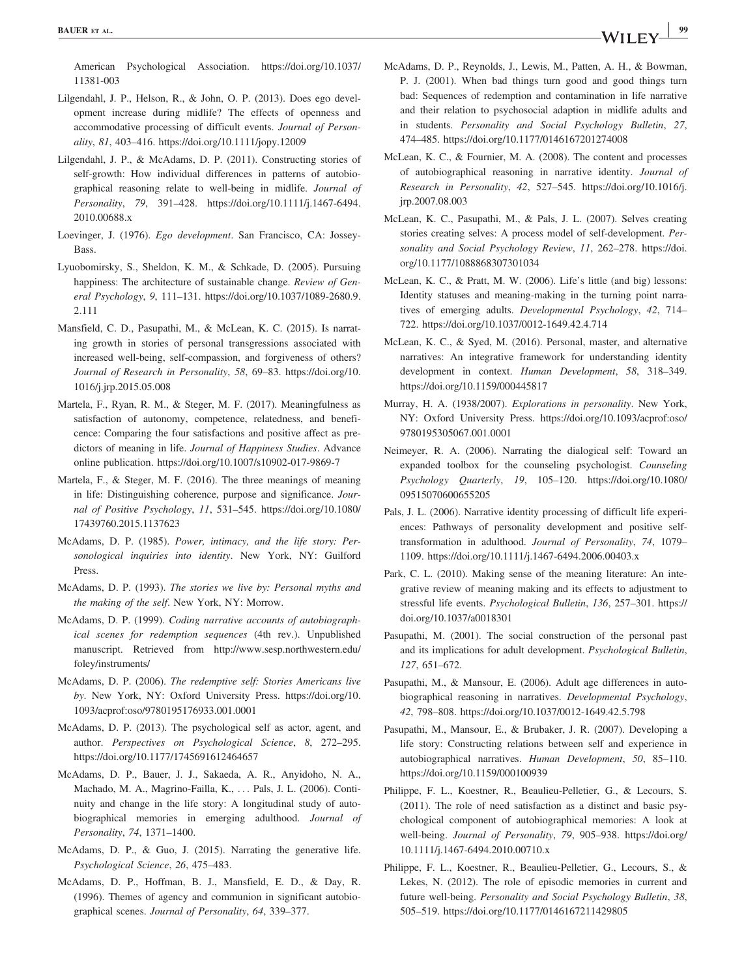American Psychological Association. [https://doi.org/10.1037/](https://doi.org/10.1037/11381-003) [11381-003](https://doi.org/10.1037/11381-003)

- Lilgendahl, J. P., Helson, R., & John, O. P. (2013). Does ego development increase during midlife? The effects of openness and accommodative processing of difficult events. Journal of Personality, 81, 403–416.<https://doi.org/10.1111/jopy.12009>
- Lilgendahl, J. P., & McAdams, D. P. (2011). Constructing stories of self-growth: How individual differences in patterns of autobiographical reasoning relate to well-being in midlife. Journal of Personality, 79, 391–428. [https://doi.org/10.1111/j.1467-6494.](https://doi.org/10.1111/j.1467-6494.2010.00688.x) [2010.00688.x](https://doi.org/10.1111/j.1467-6494.2010.00688.x)
- Loevinger, J. (1976). Ego development. San Francisco, CA: Jossey-Bass.
- Lyuobomirsky, S., Sheldon, K. M., & Schkade, D. (2005). Pursuing happiness: The architecture of sustainable change. Review of General Psychology, 9, 111–131. [https://doi.org/10.1037/1089-2680.9.](https://doi.org/10.1037/1089-2680.9.2.111) [2.111](https://doi.org/10.1037/1089-2680.9.2.111)
- Mansfield, C. D., Pasupathi, M., & McLean, K. C. (2015). Is narrating growth in stories of personal transgressions associated with increased well-being, self-compassion, and forgiveness of others? Journal of Research in Personality, 58, 69–83. [https://doi.org/10.](https://doi.org/10.1016/j.jrp.2015.05.008) [1016/j.jrp.2015.05.008](https://doi.org/10.1016/j.jrp.2015.05.008)
- Martela, F., Ryan, R. M., & Steger, M. F. (2017). Meaningfulness as satisfaction of autonomy, competence, relatedness, and beneficence: Comparing the four satisfactions and positive affect as predictors of meaning in life. Journal of Happiness Studies. Advance online publication.<https://doi.org/10.1007/s10902-017-9869-7>
- Martela, F., & Steger, M. F. (2016). The three meanings of meaning in life: Distinguishing coherence, purpose and significance. Journal of Positive Psychology, 11, 531–545. [https://doi.org/10.1080/](https://doi.org/10.1080/17439760.2015.1137623) [17439760.2015.1137623](https://doi.org/10.1080/17439760.2015.1137623)
- McAdams, D. P. (1985). Power, intimacy, and the life story: Personological inquiries into identity. New York, NY: Guilford Press.
- McAdams, D. P. (1993). The stories we live by: Personal myths and the making of the self. New York, NY: Morrow.
- McAdams, D. P. (1999). Coding narrative accounts of autobiographical scenes for redemption sequences (4th rev.). Unpublished manuscript. Retrieved from [http://www.sesp.northwestern.edu/](http://www.sesp.northwestern.edu/foley/instruments/) [foley/instruments/](http://www.sesp.northwestern.edu/foley/instruments/)
- McAdams, D. P. (2006). The redemptive self: Stories Americans live by. New York, NY: Oxford University Press. [https://doi.org/10.](https://doi.org/10.1093/acprof:oso/9780195176933.001.0001) [1093/acprof:oso/9780195176933.001.0001](https://doi.org/10.1093/acprof:oso/9780195176933.001.0001)
- McAdams, D. P. (2013). The psychological self as actor, agent, and author. Perspectives on Psychological Science, 8, 272–295. <https://doi.org/10.1177/1745691612464657>
- McAdams, D. P., Bauer, J. J., Sakaeda, A. R., Anyidoho, N. A., Machado, M. A., Magrino-Failla, K., ... Pals, J. L. (2006). Continuity and change in the life story: A longitudinal study of autobiographical memories in emerging adulthood. Journal of Personality, 74, 1371–1400.
- McAdams, D. P., & Guo, J. (2015). Narrating the generative life. Psychological Science, 26, 475–483.
- McAdams, D. P., Hoffman, B. J., Mansfield, E. D., & Day, R. (1996). Themes of agency and communion in significant autobiographical scenes. Journal of Personality, 64, 339–377.
- McAdams, D. P., Reynolds, J., Lewis, M., Patten, A. H., & Bowman, P. J. (2001). When bad things turn good and good things turn bad: Sequences of redemption and contamination in life narrative and their relation to psychosocial adaption in midlife adults and in students. Personality and Social Psychology Bulletin, 27, 474–485.<https://doi.org/10.1177/0146167201274008>
- McLean, K. C., & Fournier, M. A. (2008). The content and processes of autobiographical reasoning in narrative identity. Journal of Research in Personality, 42, 527–545. [https://doi.org/10.1016/j.](https://doi.org/10.1016/j.jrp.2007.08.003) [jrp.2007.08.003](https://doi.org/10.1016/j.jrp.2007.08.003)
- McLean, K. C., Pasupathi, M., & Pals, J. L. (2007). Selves creating stories creating selves: A process model of self-development. Personality and Social Psychology Review, 11, 262–278. [https://doi.](https://doi.org/10.1177/1088868307301034) [org/10.1177/1088868307301034](https://doi.org/10.1177/1088868307301034)
- McLean, K. C., & Pratt, M. W. (2006). Life's little (and big) lessons: Identity statuses and meaning-making in the turning point narratives of emerging adults. Developmental Psychology, 42, 714– 722.<https://doi.org/10.1037/0012-1649.42.4.714>
- McLean, K. C., & Syed, M. (2016). Personal, master, and alternative narratives: An integrative framework for understanding identity development in context. Human Development, 58, 318–349. <https://doi.org/10.1159/000445817>
- Murray, H. A. (1938/2007). Explorations in personality. New York, NY: Oxford University Press. [https://doi.org/10.1093/acprof:oso/](https://doi.org/10.1093/acprof:oso/9780195305067.001.0001) [9780195305067.001.0001](https://doi.org/10.1093/acprof:oso/9780195305067.001.0001)
- Neimeyer, R. A. (2006). Narrating the dialogical self: Toward an expanded toolbox for the counseling psychologist. Counseling Psychology Quarterly, 19, 105–120. [https://doi.org/10.1080/](https://doi.org/10.1080/09515070600655205) [09515070600655205](https://doi.org/10.1080/09515070600655205)
- Pals, J. L. (2006). Narrative identity processing of difficult life experiences: Pathways of personality development and positive selftransformation in adulthood. Journal of Personality, 74, 1079– 1109.<https://doi.org/10.1111/j.1467-6494.2006.00403.x>
- Park, C. L. (2010). Making sense of the meaning literature: An integrative review of meaning making and its effects to adjustment to stressful life events. Psychological Bulletin, 136, 257–301. [https://](https://doi.org/10.1037/a0018301) [doi.org/10.1037/a0018301](https://doi.org/10.1037/a0018301)
- Pasupathi, M. (2001). The social construction of the personal past and its implications for adult development. Psychological Bulletin, 127, 651–672.
- Pasupathi, M., & Mansour, E. (2006). Adult age differences in autobiographical reasoning in narratives. Developmental Psychology, 42, 798–808.<https://doi.org/10.1037/0012-1649.42.5.798>
- Pasupathi, M., Mansour, E., & Brubaker, J. R. (2007). Developing a life story: Constructing relations between self and experience in autobiographical narratives. Human Development, 50, 85–110. <https://doi.org/10.1159/000100939>
- Philippe, F. L., Koestner, R., Beaulieu-Pelletier, G., & Lecours, S. (2011). The role of need satisfaction as a distinct and basic psychological component of autobiographical memories: A look at well-being. Journal of Personality, 79, 905–938. [https://doi.org/](https://doi.org/10.1111/j.1467-6494.2010.00710.x) [10.1111/j.1467-6494.2010.00710.x](https://doi.org/10.1111/j.1467-6494.2010.00710.x)
- Philippe, F. L., Koestner, R., Beaulieu-Pelletier, G., Lecours, S., & Lekes, N. (2012). The role of episodic memories in current and future well-being. Personality and Social Psychology Bulletin, 38, 505–519.<https://doi.org/10.1177/0146167211429805>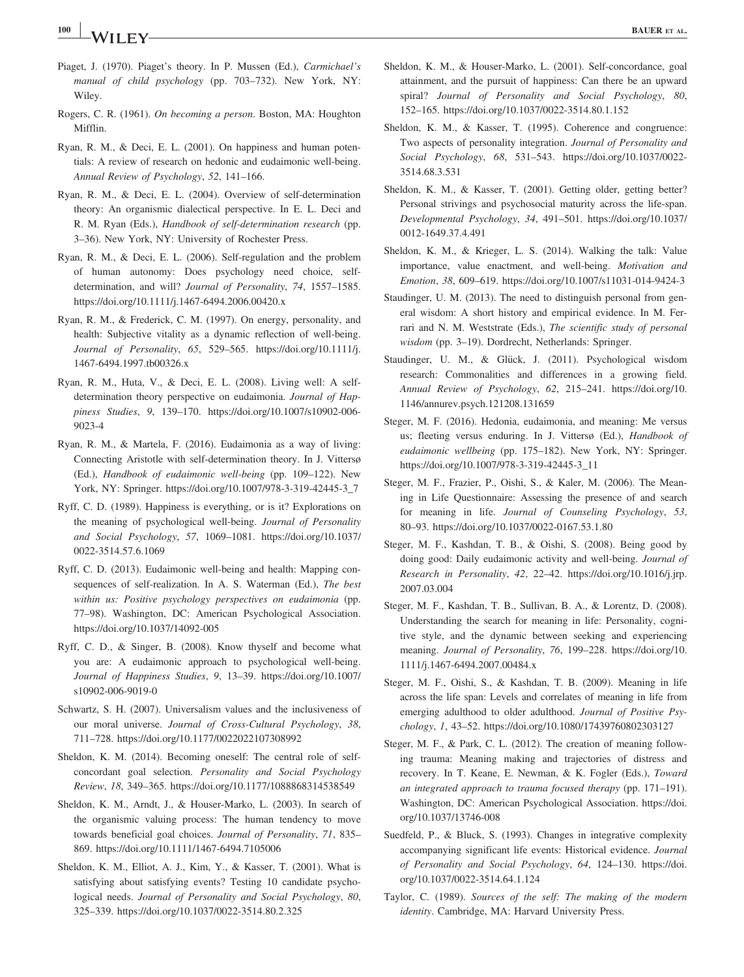- Piaget, J. (1970). Piaget's theory. In P. Mussen (Ed.), Carmichael's manual of child psychology (pp. 703–732). New York, NY: Wiley.
- Rogers, C. R. (1961). On becoming a person. Boston, MA: Houghton Mifflin.
- Ryan, R. M., & Deci, E. L. (2001). On happiness and human potentials: A review of research on hedonic and eudaimonic well-being. Annual Review of Psychology, 52, 141–166.
- Ryan, R. M., & Deci, E. L. (2004). Overview of self-determination theory: An organismic dialectical perspective. In E. L. Deci and R. M. Ryan (Eds.), Handbook of self-determination research (pp. 3–36). New York, NY: University of Rochester Press.
- Ryan, R. M., & Deci, E. L. (2006). Self-regulation and the problem of human autonomy: Does psychology need choice, selfdetermination, and will? Journal of Personality, 74, 1557–1585. <https://doi.org/10.1111/j.1467-6494.2006.00420.x>
- Ryan, R. M., & Frederick, C. M. (1997). On energy, personality, and health: Subjective vitality as a dynamic reflection of well-being. Journal of Personality, 65, 529–565. [https://doi.org/10.1111/j.](https://doi.org/10.1111/j.1467-6494.1997.tb00326.x) [1467-6494.1997.tb00326.x](https://doi.org/10.1111/j.1467-6494.1997.tb00326.x)
- Ryan, R. M., Huta, V., & Deci, E. L. (2008). Living well: A selfdetermination theory perspective on eudaimonia. Journal of Happiness Studies, 9, 139–170. [https://doi.org/10.1007/s10902-006-](https://doi.org/10.1007/s10902-006-9023-4) [9023-4](https://doi.org/10.1007/s10902-006-9023-4)
- Ryan, R. M., & Martela, F. (2016). Eudaimonia as a way of living: Connecting Aristotle with self-determination theory. In J. Vittersø (Ed.), Handbook of eudaimonic well-being (pp. 109–122). New York, NY: Springer. [https://doi.org/10.1007/978-3-319-42445-3\\_7](https://doi.org/10.1007/978-3-319-42445-3_7)
- Ryff, C. D. (1989). Happiness is everything, or is it? Explorations on the meaning of psychological well-being. Journal of Personality and Social Psychology, 57, 1069–1081. [https://doi.org/10.1037/](https://doi.org/10.1037/0022-3514.57.6.1069) [0022-3514.57.6.1069](https://doi.org/10.1037/0022-3514.57.6.1069)
- Ryff, C. D. (2013). Eudaimonic well-being and health: Mapping consequences of self-realization. In A. S. Waterman (Ed.), The best within us: Positive psychology perspectives on eudaimonia (pp. 77–98). Washington, DC: American Psychological Association. <https://doi.org/10.1037/14092-005>
- Ryff, C. D., & Singer, B. (2008). Know thyself and become what you are: A eudaimonic approach to psychological well-being. Journal of Happiness Studies, 9, 13–39. [https://doi.org/10.1007/](https://doi.org/10.1007/s10902-006-9019-0) [s10902-006-9019-0](https://doi.org/10.1007/s10902-006-9019-0)
- Schwartz, S. H. (2007). Universalism values and the inclusiveness of our moral universe. Journal of Cross-Cultural Psychology, 38, 711–728.<https://doi.org/10.1177/0022022107308992>
- Sheldon, K. M. (2014). Becoming oneself: The central role of selfconcordant goal selection. Personality and Social Psychology Review, 18, 349–365.<https://doi.org/10.1177/1088868314538549>
- Sheldon, K. M., Arndt, J., & Houser-Marko, L. (2003). In search of the organismic valuing process: The human tendency to move towards beneficial goal choices. Journal of Personality, 71, 835– 869.<https://doi.org/10.1111/1467-6494.7105006>
- Sheldon, K. M., Elliot, A. J., Kim, Y., & Kasser, T. (2001). What is satisfying about satisfying events? Testing 10 candidate psychological needs. Journal of Personality and Social Psychology, 80, 325–339.<https://doi.org/10.1037/0022-3514.80.2.325>
- Sheldon, K. M., & Houser-Marko, L. (2001). Self-concordance, goal attainment, and the pursuit of happiness: Can there be an upward spiral? Journal of Personality and Social Psychology, 80, 152–165.<https://doi.org/10.1037/0022-3514.80.1.152>
- Sheldon, K. M., & Kasser, T. (1995). Coherence and congruence: Two aspects of personality integration. Journal of Personality and Social Psychology, 68, 531–543. [https://doi.org/10.1037/0022-](https://doi.org/10.1037/0022-3514.68.3.531) [3514.68.3.531](https://doi.org/10.1037/0022-3514.68.3.531)
- Sheldon, K. M., & Kasser, T. (2001). Getting older, getting better? Personal strivings and psychosocial maturity across the life-span. Developmental Psychology, 34, 491–501. [https://doi.org/10.1037/](https://doi.org/10.1037/0012-1649.37.4.491) [0012-1649.37.4.491](https://doi.org/10.1037/0012-1649.37.4.491)
- Sheldon, K. M., & Krieger, L. S. (2014). Walking the talk: Value importance, value enactment, and well-being. Motivation and Emotion, 38, 609–619.<https://doi.org/10.1007/s11031-014-9424-3>
- Staudinger, U. M. (2013). The need to distinguish personal from general wisdom: A short history and empirical evidence. In M. Ferrari and N. M. Weststrate (Eds.), The scientific study of personal wisdom (pp. 3–19). Dordrecht, Netherlands: Springer.
- Staudinger, U. M., & Glück, J. (2011). Psychological wisdom research: Commonalities and differences in a growing field. Annual Review of Psychology, 62, 215–241. [https://doi.org/10.](https://doi.org/10.1146/annurev.psych.121208.131659) [1146/annurev.psych.121208.131659](https://doi.org/10.1146/annurev.psych.121208.131659)
- Steger, M. F. (2016). Hedonia, eudaimonia, and meaning: Me versus us; fleeting versus enduring. In J. Vittersø (Ed.), Handbook of eudaimonic wellbeing (pp. 175–182). New York, NY: Springer. [https://doi.org/10.1007/978-3-319-42445-3\\_11](https://doi.org/10.1007/978-3-319-42445-3_11)
- Steger, M. F., Frazier, P., Oishi, S., & Kaler, M. (2006). The Meaning in Life Questionnaire: Assessing the presence of and search for meaning in life. Journal of Counseling Psychology, 53, 80–93.<https://doi.org/10.1037/0022-0167.53.1.80>
- Steger, M. F., Kashdan, T. B., & Oishi, S. (2008). Being good by doing good: Daily eudaimonic activity and well-being. Journal of Research in Personality, 42, 22–42. [https://doi.org/10.1016/j.jrp.](https://doi.org/10.1016/j.jrp.2007.03.004) [2007.03.004](https://doi.org/10.1016/j.jrp.2007.03.004)
- Steger, M. F., Kashdan, T. B., Sullivan, B. A., & Lorentz, D. (2008). Understanding the search for meaning in life: Personality, cognitive style, and the dynamic between seeking and experiencing meaning. Journal of Personality, 76, 199–228. [https://doi.org/10.](https://doi.org/10.1111/j.1467-6494.2007.00484.x) [1111/j.1467-6494.2007.00484.x](https://doi.org/10.1111/j.1467-6494.2007.00484.x)
- Steger, M. F., Oishi, S., & Kashdan, T. B. (2009). Meaning in life across the life span: Levels and correlates of meaning in life from emerging adulthood to older adulthood. Journal of Positive Psychology, 1, 43–52.<https://doi.org/10.1080/17439760802303127>
- Steger, M. F., & Park, C. L. (2012). The creation of meaning following trauma: Meaning making and trajectories of distress and recovery. In T. Keane, E. Newman, & K. Fogler (Eds.), Toward an integrated approach to trauma focused therapy (pp. 171–191). Washington, DC: American Psychological Association. [https://doi.](https://doi.org/10.1037/13746-008) [org/10.1037/13746-008](https://doi.org/10.1037/13746-008)
- Suedfeld, P., & Bluck, S. (1993). Changes in integrative complexity accompanying significant life events: Historical evidence. Journal of Personality and Social Psychology, 64, 124–130. [https://doi.](https://doi.org/10.1037/0022-3514.64.1.124) [org/10.1037/0022-3514.64.1.124](https://doi.org/10.1037/0022-3514.64.1.124)
- Taylor, C. (1989). Sources of the self: The making of the modern identity. Cambridge, MA: Harvard University Press.